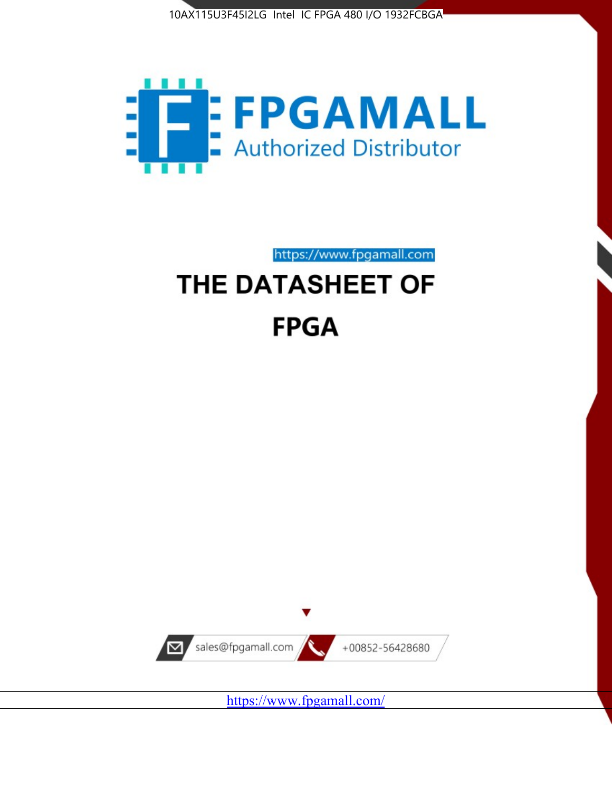



https://www.fpgamall.com

# THE DATASHEET OF **FPGA**



<https://www.fpgamall.com/>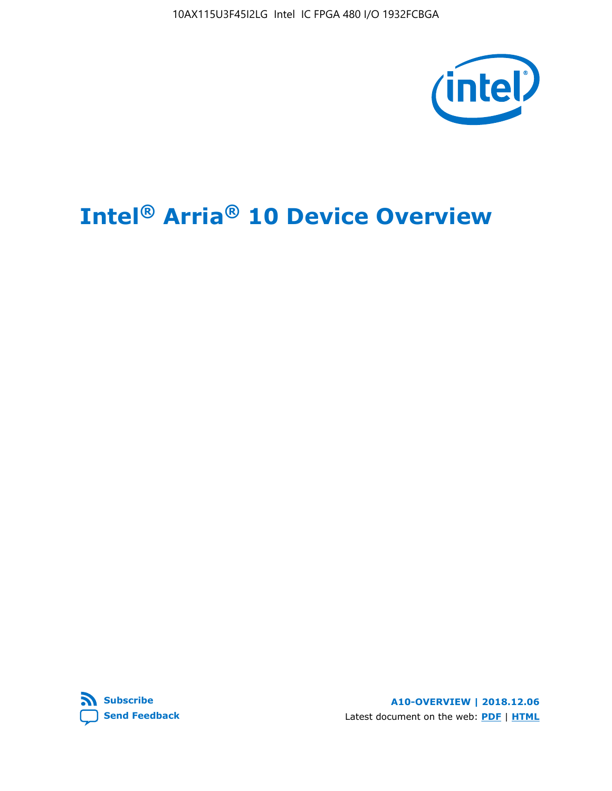10AX115U3F45I2LG Intel IC FPGA 480 I/O 1932FCBGA



# **Intel® Arria® 10 Device Overview**



**A10-OVERVIEW | 2018.12.06** Latest document on the web: **[PDF](https://www.intel.com/content/dam/www/programmable/us/en/pdfs/literature/hb/arria-10/a10_overview.pdf)** | **[HTML](https://www.intel.com/content/www/us/en/programmable/documentation/sam1403480274650.html)**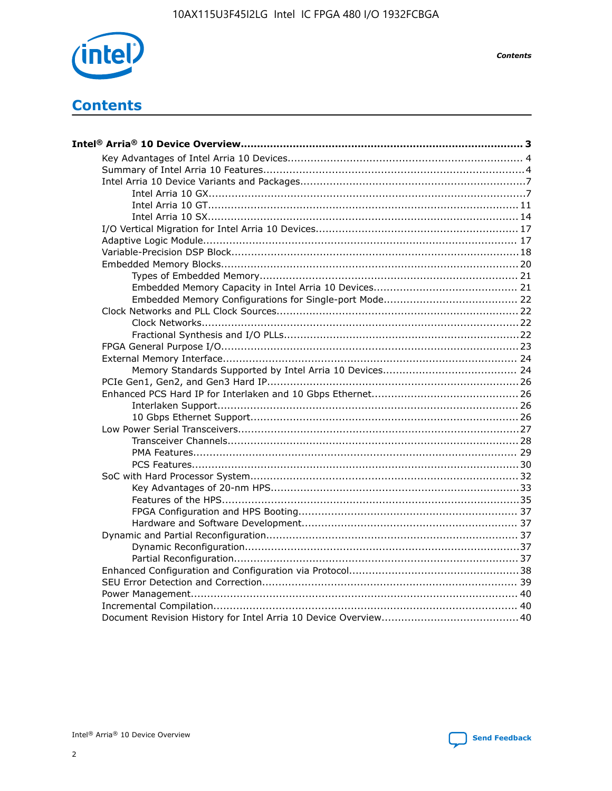

**Contents** 

## **Contents**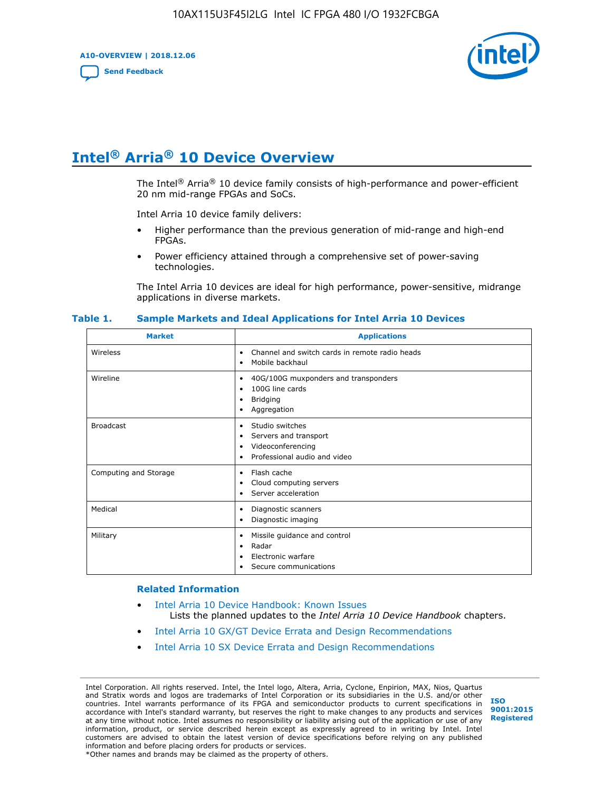**A10-OVERVIEW | 2018.12.06**

**[Send Feedback](mailto:FPGAtechdocfeedback@intel.com?subject=Feedback%20on%20Intel%20Arria%2010%20Device%20Overview%20(A10-OVERVIEW%202018.12.06)&body=We%20appreciate%20your%20feedback.%20In%20your%20comments,%20also%20specify%20the%20page%20number%20or%20paragraph.%20Thank%20you.)**



## **Intel® Arria® 10 Device Overview**

The Intel<sup>®</sup> Arria<sup>®</sup> 10 device family consists of high-performance and power-efficient 20 nm mid-range FPGAs and SoCs.

Intel Arria 10 device family delivers:

- Higher performance than the previous generation of mid-range and high-end FPGAs.
- Power efficiency attained through a comprehensive set of power-saving technologies.

The Intel Arria 10 devices are ideal for high performance, power-sensitive, midrange applications in diverse markets.

| <b>Market</b>         | <b>Applications</b>                                                                                               |
|-----------------------|-------------------------------------------------------------------------------------------------------------------|
| Wireless              | Channel and switch cards in remote radio heads<br>٠<br>Mobile backhaul<br>٠                                       |
| Wireline              | 40G/100G muxponders and transponders<br>٠<br>100G line cards<br>٠<br><b>Bridging</b><br>٠<br>Aggregation<br>٠     |
| <b>Broadcast</b>      | Studio switches<br>٠<br>Servers and transport<br>٠<br>Videoconferencing<br>٠<br>Professional audio and video<br>٠ |
| Computing and Storage | Flash cache<br>٠<br>Cloud computing servers<br>٠<br>Server acceleration<br>٠                                      |
| Medical               | Diagnostic scanners<br>٠<br>Diagnostic imaging<br>٠                                                               |
| Military              | Missile guidance and control<br>٠<br>Radar<br>٠<br>Electronic warfare<br>٠<br>Secure communications<br>٠          |

#### **Table 1. Sample Markets and Ideal Applications for Intel Arria 10 Devices**

#### **Related Information**

- [Intel Arria 10 Device Handbook: Known Issues](http://www.altera.com/support/kdb/solutions/rd07302013_646.html) Lists the planned updates to the *Intel Arria 10 Device Handbook* chapters.
- [Intel Arria 10 GX/GT Device Errata and Design Recommendations](https://www.intel.com/content/www/us/en/programmable/documentation/agz1493851706374.html#yqz1494433888646)
- [Intel Arria 10 SX Device Errata and Design Recommendations](https://www.intel.com/content/www/us/en/programmable/documentation/cru1462832385668.html#cru1462832558642)

Intel Corporation. All rights reserved. Intel, the Intel logo, Altera, Arria, Cyclone, Enpirion, MAX, Nios, Quartus and Stratix words and logos are trademarks of Intel Corporation or its subsidiaries in the U.S. and/or other countries. Intel warrants performance of its FPGA and semiconductor products to current specifications in accordance with Intel's standard warranty, but reserves the right to make changes to any products and services at any time without notice. Intel assumes no responsibility or liability arising out of the application or use of any information, product, or service described herein except as expressly agreed to in writing by Intel. Intel customers are advised to obtain the latest version of device specifications before relying on any published information and before placing orders for products or services. \*Other names and brands may be claimed as the property of others.

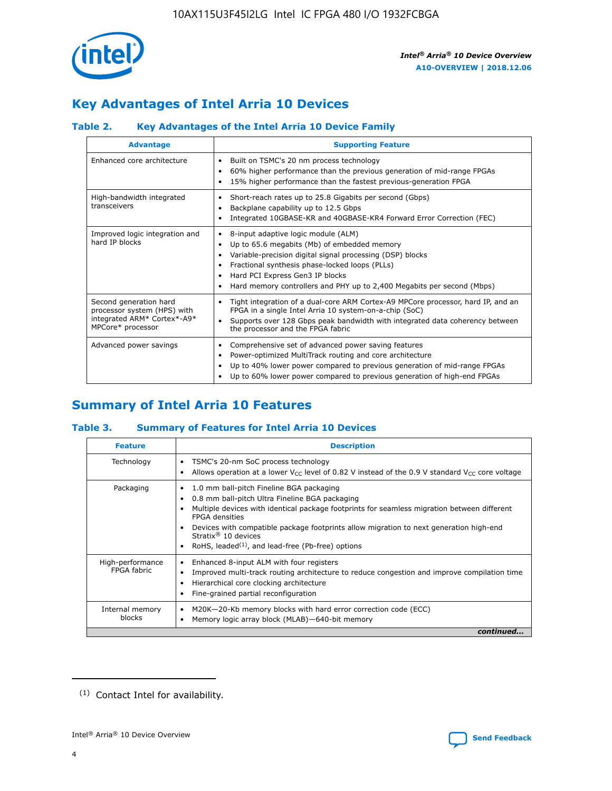

### **Key Advantages of Intel Arria 10 Devices**

### **Table 2. Key Advantages of the Intel Arria 10 Device Family**

| <b>Advantage</b>                                                                                          | <b>Supporting Feature</b>                                                                                                                                                                                                                                                                                                |
|-----------------------------------------------------------------------------------------------------------|--------------------------------------------------------------------------------------------------------------------------------------------------------------------------------------------------------------------------------------------------------------------------------------------------------------------------|
| Enhanced core architecture                                                                                | Built on TSMC's 20 nm process technology<br>٠<br>60% higher performance than the previous generation of mid-range FPGAs<br>٠<br>15% higher performance than the fastest previous-generation FPGA<br>٠                                                                                                                    |
| High-bandwidth integrated<br>transceivers                                                                 | Short-reach rates up to 25.8 Gigabits per second (Gbps)<br>٠<br>Backplane capability up to 12.5 Gbps<br>٠<br>Integrated 10GBASE-KR and 40GBASE-KR4 Forward Error Correction (FEC)<br>٠                                                                                                                                   |
| Improved logic integration and<br>hard IP blocks                                                          | 8-input adaptive logic module (ALM)<br>٠<br>Up to 65.6 megabits (Mb) of embedded memory<br>٠<br>Variable-precision digital signal processing (DSP) blocks<br>Fractional synthesis phase-locked loops (PLLs)<br>Hard PCI Express Gen3 IP blocks<br>Hard memory controllers and PHY up to 2,400 Megabits per second (Mbps) |
| Second generation hard<br>processor system (HPS) with<br>integrated ARM* Cortex*-A9*<br>MPCore* processor | Tight integration of a dual-core ARM Cortex-A9 MPCore processor, hard IP, and an<br>٠<br>FPGA in a single Intel Arria 10 system-on-a-chip (SoC)<br>Supports over 128 Gbps peak bandwidth with integrated data coherency between<br>$\bullet$<br>the processor and the FPGA fabric                                        |
| Advanced power savings                                                                                    | Comprehensive set of advanced power saving features<br>٠<br>Power-optimized MultiTrack routing and core architecture<br>٠<br>Up to 40% lower power compared to previous generation of mid-range FPGAs<br>٠<br>Up to 60% lower power compared to previous generation of high-end FPGAs                                    |

### **Summary of Intel Arria 10 Features**

### **Table 3. Summary of Features for Intel Arria 10 Devices**

| <b>Feature</b>                  | <b>Description</b>                                                                                                                                                                                                                                                                                                                                                                                           |
|---------------------------------|--------------------------------------------------------------------------------------------------------------------------------------------------------------------------------------------------------------------------------------------------------------------------------------------------------------------------------------------------------------------------------------------------------------|
| Technology                      | TSMC's 20-nm SoC process technology<br>Allows operation at a lower $V_{\text{CC}}$ level of 0.82 V instead of the 0.9 V standard $V_{\text{CC}}$ core voltage                                                                                                                                                                                                                                                |
| Packaging                       | 1.0 mm ball-pitch Fineline BGA packaging<br>٠<br>0.8 mm ball-pitch Ultra Fineline BGA packaging<br>Multiple devices with identical package footprints for seamless migration between different<br><b>FPGA</b> densities<br>Devices with compatible package footprints allow migration to next generation high-end<br>Stratix <sup>®</sup> 10 devices<br>RoHS, leaded $(1)$ , and lead-free (Pb-free) options |
| High-performance<br>FPGA fabric | Enhanced 8-input ALM with four registers<br>Improved multi-track routing architecture to reduce congestion and improve compilation time<br>Hierarchical core clocking architecture<br>Fine-grained partial reconfiguration                                                                                                                                                                                   |
| Internal memory<br>blocks       | M20K-20-Kb memory blocks with hard error correction code (ECC)<br>Memory logic array block (MLAB)-640-bit memory                                                                                                                                                                                                                                                                                             |
|                                 | continued                                                                                                                                                                                                                                                                                                                                                                                                    |



<sup>(1)</sup> Contact Intel for availability.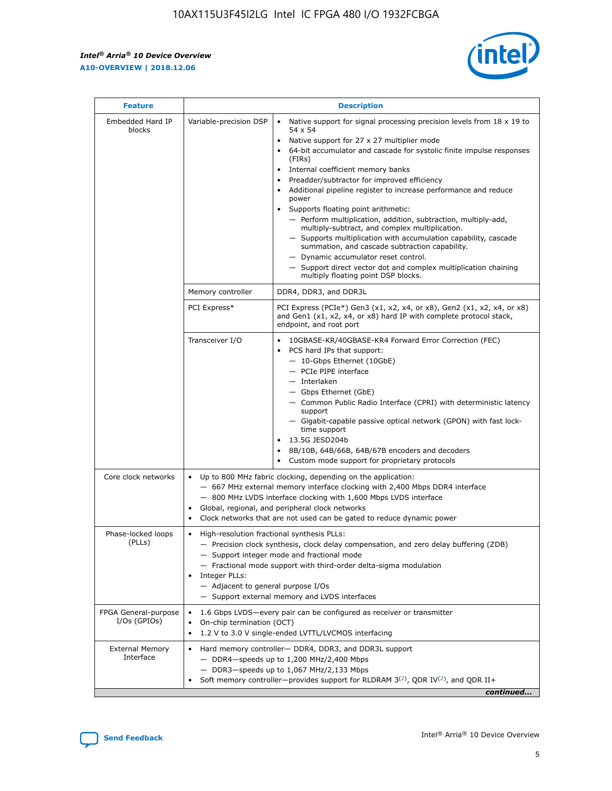r



| <b>Feature</b>                         | <b>Description</b>                                                                                             |                                                                                                                                                                                                                                                                                                                                                                                                                                                                                                                                                                                                                                                                                                                                                                                                                                                                  |  |  |  |  |  |
|----------------------------------------|----------------------------------------------------------------------------------------------------------------|------------------------------------------------------------------------------------------------------------------------------------------------------------------------------------------------------------------------------------------------------------------------------------------------------------------------------------------------------------------------------------------------------------------------------------------------------------------------------------------------------------------------------------------------------------------------------------------------------------------------------------------------------------------------------------------------------------------------------------------------------------------------------------------------------------------------------------------------------------------|--|--|--|--|--|
| Embedded Hard IP<br>blocks             | Variable-precision DSP                                                                                         | Native support for signal processing precision levels from $18 \times 19$ to<br>$\bullet$<br>54 x 54<br>Native support for 27 x 27 multiplier mode<br>$\bullet$<br>64-bit accumulator and cascade for systolic finite impulse responses<br>(FIRs)<br>Internal coefficient memory banks<br>$\bullet$<br>Preadder/subtractor for improved efficiency<br>Additional pipeline register to increase performance and reduce<br>power<br>Supports floating point arithmetic:<br>- Perform multiplication, addition, subtraction, multiply-add,<br>multiply-subtract, and complex multiplication.<br>- Supports multiplication with accumulation capability, cascade<br>summation, and cascade subtraction capability.<br>- Dynamic accumulator reset control.<br>- Support direct vector dot and complex multiplication chaining<br>multiply floating point DSP blocks. |  |  |  |  |  |
|                                        | Memory controller                                                                                              | DDR4, DDR3, and DDR3L                                                                                                                                                                                                                                                                                                                                                                                                                                                                                                                                                                                                                                                                                                                                                                                                                                            |  |  |  |  |  |
|                                        | PCI Express*                                                                                                   | PCI Express (PCIe*) Gen3 (x1, x2, x4, or x8), Gen2 (x1, x2, x4, or x8)<br>and Gen1 (x1, x2, x4, or x8) hard IP with complete protocol stack,<br>endpoint, and root port                                                                                                                                                                                                                                                                                                                                                                                                                                                                                                                                                                                                                                                                                          |  |  |  |  |  |
|                                        | Transceiver I/O                                                                                                | 10GBASE-KR/40GBASE-KR4 Forward Error Correction (FEC)<br>PCS hard IPs that support:<br>- 10-Gbps Ethernet (10GbE)<br>- PCIe PIPE interface<br>- Interlaken<br>- Gbps Ethernet (GbE)<br>- Common Public Radio Interface (CPRI) with deterministic latency<br>support<br>- Gigabit-capable passive optical network (GPON) with fast lock-<br>time support<br>13.5G JESD204b<br>$\bullet$<br>8B/10B, 64B/66B, 64B/67B encoders and decoders<br>Custom mode support for proprietary protocols                                                                                                                                                                                                                                                                                                                                                                        |  |  |  |  |  |
| Core clock networks                    | $\bullet$                                                                                                      | Up to 800 MHz fabric clocking, depending on the application:<br>- 667 MHz external memory interface clocking with 2,400 Mbps DDR4 interface<br>- 800 MHz LVDS interface clocking with 1,600 Mbps LVDS interface<br>Global, regional, and peripheral clock networks<br>Clock networks that are not used can be gated to reduce dynamic power                                                                                                                                                                                                                                                                                                                                                                                                                                                                                                                      |  |  |  |  |  |
| Phase-locked loops<br>(PLLs)           | High-resolution fractional synthesis PLLs:<br>$\bullet$<br>Integer PLLs:<br>- Adjacent to general purpose I/Os | - Precision clock synthesis, clock delay compensation, and zero delay buffering (ZDB)<br>- Support integer mode and fractional mode<br>- Fractional mode support with third-order delta-sigma modulation<br>- Support external memory and LVDS interfaces                                                                                                                                                                                                                                                                                                                                                                                                                                                                                                                                                                                                        |  |  |  |  |  |
| FPGA General-purpose<br>$I/Os$ (GPIOs) | On-chip termination (OCT)<br>٠<br>$\bullet$                                                                    | 1.6 Gbps LVDS-every pair can be configured as receiver or transmitter<br>1.2 V to 3.0 V single-ended LVTTL/LVCMOS interfacing                                                                                                                                                                                                                                                                                                                                                                                                                                                                                                                                                                                                                                                                                                                                    |  |  |  |  |  |
| <b>External Memory</b><br>Interface    | $\bullet$                                                                                                      | Hard memory controller- DDR4, DDR3, and DDR3L support<br>$-$ DDR4-speeds up to 1,200 MHz/2,400 Mbps<br>- DDR3-speeds up to 1,067 MHz/2,133 Mbps<br>Soft memory controller—provides support for RLDRAM $3^{(2)}$ , QDR IV $^{(2)}$ , and QDR II+<br>continued                                                                                                                                                                                                                                                                                                                                                                                                                                                                                                                                                                                                     |  |  |  |  |  |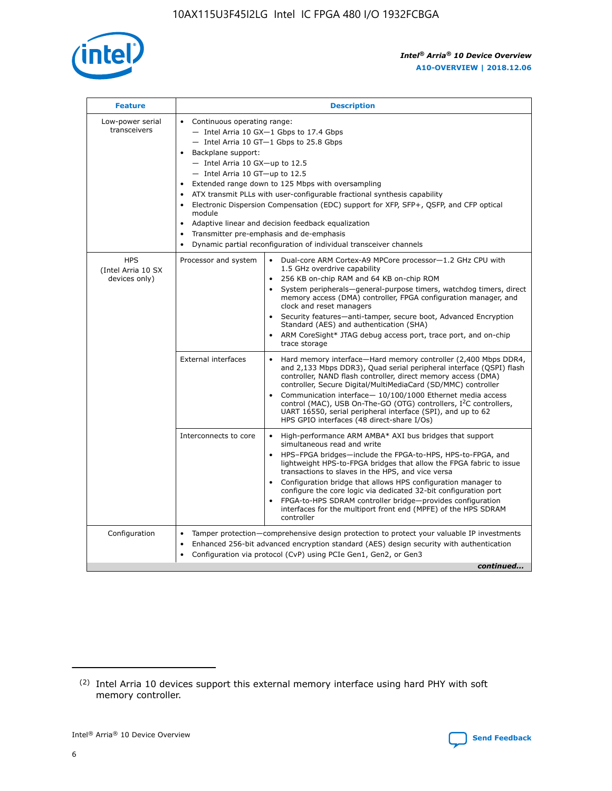

| <b>Feature</b>                                    | <b>Description</b>                                                                                                                                                                                                                                                                                                                                                                                                                                                                                                                                                                                                                                      |
|---------------------------------------------------|---------------------------------------------------------------------------------------------------------------------------------------------------------------------------------------------------------------------------------------------------------------------------------------------------------------------------------------------------------------------------------------------------------------------------------------------------------------------------------------------------------------------------------------------------------------------------------------------------------------------------------------------------------|
| Low-power serial<br>transceivers                  | • Continuous operating range:<br>- Intel Arria 10 GX-1 Gbps to 17.4 Gbps<br>- Intel Arria 10 GT-1 Gbps to 25.8 Gbps<br>Backplane support:<br>$-$ Intel Arria 10 GX-up to 12.5<br>$-$ Intel Arria 10 GT-up to 12.5<br>Extended range down to 125 Mbps with oversampling<br>ATX transmit PLLs with user-configurable fractional synthesis capability<br>Electronic Dispersion Compensation (EDC) support for XFP, SFP+, QSFP, and CFP optical<br>module<br>Adaptive linear and decision feedback equalization<br>$\bullet$<br>Transmitter pre-emphasis and de-emphasis<br>$\bullet$<br>Dynamic partial reconfiguration of individual transceiver channels |
| <b>HPS</b><br>(Intel Arria 10 SX<br>devices only) | • Dual-core ARM Cortex-A9 MPCore processor-1.2 GHz CPU with<br>Processor and system<br>1.5 GHz overdrive capability<br>256 KB on-chip RAM and 64 KB on-chip ROM<br>$\bullet$<br>System peripherals—general-purpose timers, watchdog timers, direct<br>memory access (DMA) controller, FPGA configuration manager, and<br>clock and reset managers<br>Security features—anti-tamper, secure boot, Advanced Encryption<br>$\bullet$<br>Standard (AES) and authentication (SHA)<br>ARM CoreSight* JTAG debug access port, trace port, and on-chip<br>$\bullet$<br>trace storage                                                                            |
|                                                   | <b>External interfaces</b><br>Hard memory interface-Hard memory controller (2,400 Mbps DDR4,<br>$\bullet$<br>and 2,133 Mbps DDR3), Quad serial peripheral interface (QSPI) flash<br>controller, NAND flash controller, direct memory access (DMA)<br>controller, Secure Digital/MultiMediaCard (SD/MMC) controller<br>Communication interface-10/100/1000 Ethernet media access<br>$\bullet$<br>control (MAC), USB On-The-GO (OTG) controllers, I <sup>2</sup> C controllers,<br>UART 16550, serial peripheral interface (SPI), and up to 62<br>HPS GPIO interfaces (48 direct-share I/Os)                                                              |
|                                                   | High-performance ARM AMBA* AXI bus bridges that support<br>Interconnects to core<br>$\bullet$<br>simultaneous read and write<br>HPS-FPGA bridges-include the FPGA-to-HPS, HPS-to-FPGA, and<br>$\bullet$<br>lightweight HPS-to-FPGA bridges that allow the FPGA fabric to issue<br>transactions to slaves in the HPS, and vice versa<br>Configuration bridge that allows HPS configuration manager to<br>configure the core logic via dedicated 32-bit configuration port<br>FPGA-to-HPS SDRAM controller bridge-provides configuration<br>interfaces for the multiport front end (MPFE) of the HPS SDRAM<br>controller                                  |
| Configuration                                     | Tamper protection—comprehensive design protection to protect your valuable IP investments<br>Enhanced 256-bit advanced encryption standard (AES) design security with authentication<br>٠<br>Configuration via protocol (CvP) using PCIe Gen1, Gen2, or Gen3<br>continued                                                                                                                                                                                                                                                                                                                                                                               |

<sup>(2)</sup> Intel Arria 10 devices support this external memory interface using hard PHY with soft memory controller.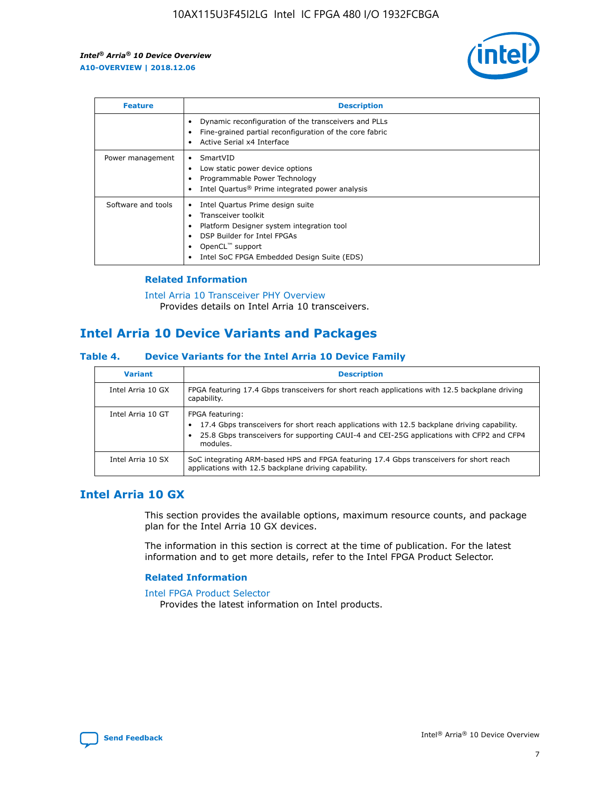

| <b>Feature</b>     | <b>Description</b>                                                                                                                                                                                                            |
|--------------------|-------------------------------------------------------------------------------------------------------------------------------------------------------------------------------------------------------------------------------|
|                    | Dynamic reconfiguration of the transceivers and PLLs<br>Fine-grained partial reconfiguration of the core fabric<br>Active Serial x4 Interface<br>$\bullet$                                                                    |
| Power management   | SmartVID<br>Low static power device options<br>Programmable Power Technology<br>Intel Quartus <sup>®</sup> Prime integrated power analysis                                                                                    |
| Software and tools | Intel Quartus Prime design suite<br>Transceiver toolkit<br>$\bullet$<br>Platform Designer system integration tool<br>DSP Builder for Intel FPGAs<br>OpenCL <sup>"</sup> support<br>Intel SoC FPGA Embedded Design Suite (EDS) |

### **Related Information**

#### [Intel Arria 10 Transceiver PHY Overview](https://www.intel.com/content/www/us/en/programmable/documentation/nik1398707230472.html#nik1398706768037) Provides details on Intel Arria 10 transceivers.

### **Intel Arria 10 Device Variants and Packages**

### **Table 4. Device Variants for the Intel Arria 10 Device Family**

| <b>Variant</b>    | <b>Description</b>                                                                                                                                                                                                     |
|-------------------|------------------------------------------------------------------------------------------------------------------------------------------------------------------------------------------------------------------------|
| Intel Arria 10 GX | FPGA featuring 17.4 Gbps transceivers for short reach applications with 12.5 backplane driving<br>capability.                                                                                                          |
| Intel Arria 10 GT | FPGA featuring:<br>17.4 Gbps transceivers for short reach applications with 12.5 backplane driving capability.<br>25.8 Gbps transceivers for supporting CAUI-4 and CEI-25G applications with CFP2 and CFP4<br>modules. |
| Intel Arria 10 SX | SoC integrating ARM-based HPS and FPGA featuring 17.4 Gbps transceivers for short reach<br>applications with 12.5 backplane driving capability.                                                                        |

### **Intel Arria 10 GX**

This section provides the available options, maximum resource counts, and package plan for the Intel Arria 10 GX devices.

The information in this section is correct at the time of publication. For the latest information and to get more details, refer to the Intel FPGA Product Selector.

### **Related Information**

#### [Intel FPGA Product Selector](http://www.altera.com/products/selector/psg-selector.html) Provides the latest information on Intel products.

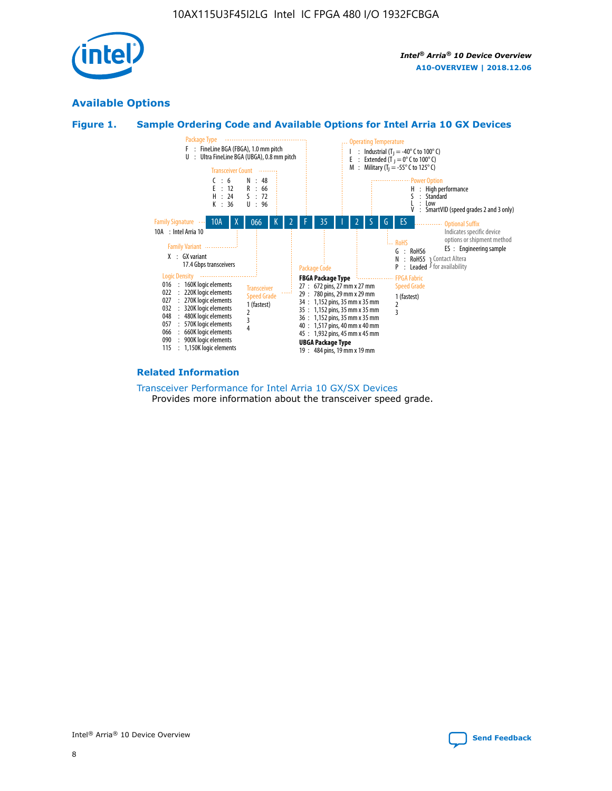

### **Available Options**





#### **Related Information**

[Transceiver Performance for Intel Arria 10 GX/SX Devices](https://www.intel.com/content/www/us/en/programmable/documentation/mcn1413182292568.html#mcn1413213965502) Provides more information about the transceiver speed grade.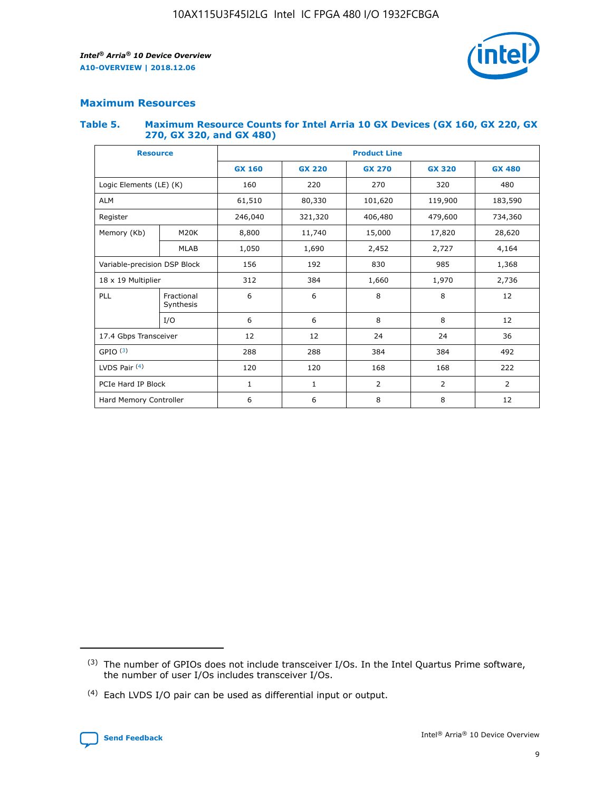

### **Maximum Resources**

#### **Table 5. Maximum Resource Counts for Intel Arria 10 GX Devices (GX 160, GX 220, GX 270, GX 320, and GX 480)**

| <b>Resource</b>              |                          | <b>Product Line</b> |               |                    |                |                |  |  |  |
|------------------------------|--------------------------|---------------------|---------------|--------------------|----------------|----------------|--|--|--|
|                              |                          | <b>GX 160</b>       | <b>GX 220</b> | <b>GX 270</b>      | <b>GX 320</b>  | <b>GX 480</b>  |  |  |  |
| Logic Elements (LE) (K)      |                          | 160                 | 220           | 270                | 320            | 480            |  |  |  |
| <b>ALM</b>                   |                          | 61,510              | 80,330        | 101,620            |                | 183,590        |  |  |  |
| Register                     |                          | 246,040             | 321,320       | 406,480<br>479,600 |                | 734,360        |  |  |  |
| Memory (Kb)                  | M <sub>20</sub> K        | 8,800               | 11,740        | 15,000             | 17,820         | 28,620         |  |  |  |
| <b>MLAB</b>                  |                          | 1,050               | 1,690         | 2,452              | 2,727          | 4,164          |  |  |  |
| Variable-precision DSP Block | 156<br>192<br>830<br>985 |                     |               |                    | 1,368          |                |  |  |  |
| 18 x 19 Multiplier           |                          | 312                 | 384           | 1,660              | 1,970          | 2,736          |  |  |  |
| PLL                          | Fractional<br>Synthesis  | 6                   | 6             | 8                  | 8              | 12             |  |  |  |
|                              | I/O                      | 6                   | 6             | 8                  | 8              | 12             |  |  |  |
| 17.4 Gbps Transceiver        |                          | 12                  | 12            | 24                 | 24             | 36             |  |  |  |
| GPIO <sup>(3)</sup>          |                          | 288                 | 288           | 384<br>384         |                | 492            |  |  |  |
| LVDS Pair $(4)$              |                          | 120                 | 120           | 168                | 168            | 222            |  |  |  |
| PCIe Hard IP Block           |                          | 1                   | 1             | 2                  | $\overline{2}$ | $\overline{2}$ |  |  |  |
| Hard Memory Controller       |                          | 6                   | 6             | 8                  | 8              | 12             |  |  |  |

<sup>(4)</sup> Each LVDS I/O pair can be used as differential input or output.



<sup>(3)</sup> The number of GPIOs does not include transceiver I/Os. In the Intel Quartus Prime software, the number of user I/Os includes transceiver I/Os.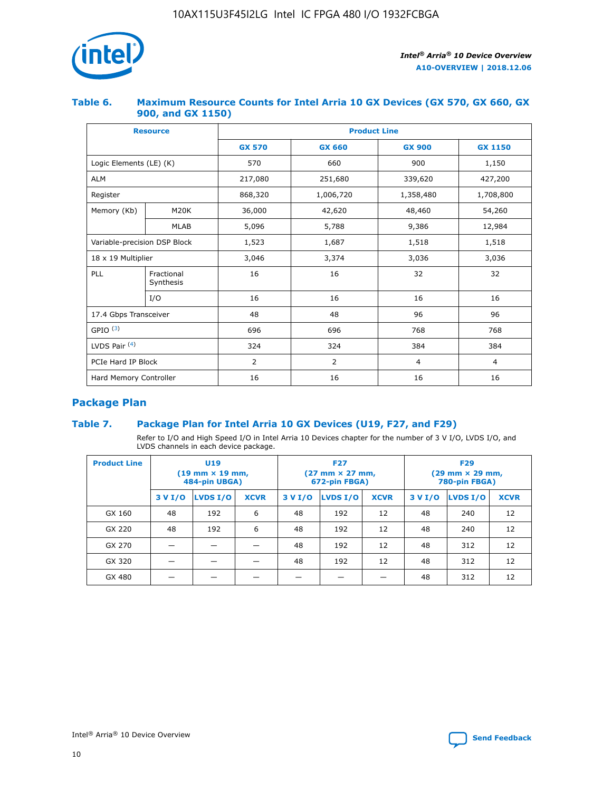

### **Table 6. Maximum Resource Counts for Intel Arria 10 GX Devices (GX 570, GX 660, GX 900, and GX 1150)**

|                              | <b>Resource</b>         | <b>Product Line</b> |                |                |                |  |  |  |
|------------------------------|-------------------------|---------------------|----------------|----------------|----------------|--|--|--|
|                              |                         | <b>GX 570</b>       | <b>GX 660</b>  | <b>GX 900</b>  | <b>GX 1150</b> |  |  |  |
| Logic Elements (LE) (K)      |                         | 570                 | 660            | 900            | 1,150          |  |  |  |
| <b>ALM</b>                   |                         | 217,080             | 251,680        | 339,620        | 427,200        |  |  |  |
| Register                     |                         | 868,320             | 1,006,720      | 1,358,480      | 1,708,800      |  |  |  |
| Memory (Kb)                  | <b>M20K</b>             | 36,000              | 42,620         | 48,460         | 54,260         |  |  |  |
| <b>MLAB</b>                  |                         | 5,096               | 5,788          | 9,386          | 12,984         |  |  |  |
| Variable-precision DSP Block |                         | 1,523               | 1,687          | 1,518          | 1,518          |  |  |  |
|                              | 18 x 19 Multiplier      |                     | 3,374          | 3,036          | 3,036          |  |  |  |
| PLL                          | Fractional<br>Synthesis | 16                  | 16             | 32             | 32             |  |  |  |
|                              | I/O                     | 16                  | 16             | 16             | 16             |  |  |  |
| 17.4 Gbps Transceiver        |                         | 48                  | 48             | 96             | 96             |  |  |  |
| GPIO <sup>(3)</sup>          |                         | 696                 | 696            | 768            | 768            |  |  |  |
| LVDS Pair $(4)$              |                         | 324                 | 324            | 384            | 384            |  |  |  |
| PCIe Hard IP Block           |                         | 2                   | $\overline{2}$ | $\overline{4}$ | $\overline{4}$ |  |  |  |
| Hard Memory Controller       |                         | 16                  | 16             | 16             | 16             |  |  |  |

### **Package Plan**

### **Table 7. Package Plan for Intel Arria 10 GX Devices (U19, F27, and F29)**

Refer to I/O and High Speed I/O in Intel Arria 10 Devices chapter for the number of 3 V I/O, LVDS I/O, and LVDS channels in each device package.

| <b>Product Line</b> |         | U <sub>19</sub><br>$(19 \text{ mm} \times 19 \text{ mm})$<br>484-pin UBGA) |             | <b>F27</b><br>(27 mm × 27 mm,<br>672-pin FBGA) |                 |             | <b>F29</b><br>(29 mm × 29 mm,<br>780-pin FBGA) |          |             |  |
|---------------------|---------|----------------------------------------------------------------------------|-------------|------------------------------------------------|-----------------|-------------|------------------------------------------------|----------|-------------|--|
|                     | 3 V I/O | LVDS I/O                                                                   | <b>XCVR</b> | 3 V I/O                                        | <b>LVDS I/O</b> | <b>XCVR</b> | 3 V I/O                                        | LVDS I/O | <b>XCVR</b> |  |
| GX 160              | 48      | 192                                                                        | 6           | 48                                             | 192             | 12          | 48                                             | 240      | 12          |  |
| GX 220              | 48      | 192                                                                        | 6           | 48                                             | 192             | 12          | 48                                             | 240      | 12          |  |
| GX 270              |         |                                                                            |             | 48                                             | 192             | 12          | 48                                             | 312      | 12          |  |
| GX 320              |         |                                                                            |             | 48                                             | 192             | 12          | 48                                             | 312      | 12          |  |
| GX 480              |         |                                                                            |             |                                                |                 |             | 48                                             | 312      | 12          |  |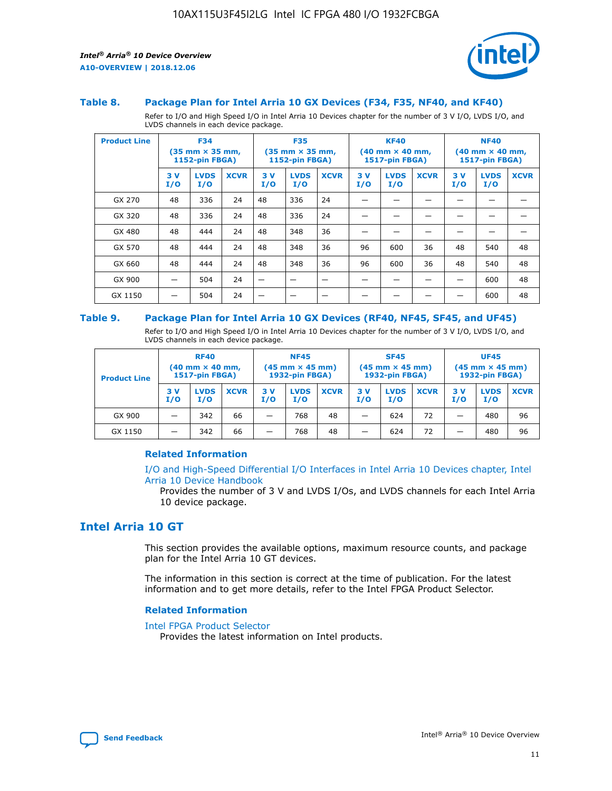

#### **Table 8. Package Plan for Intel Arria 10 GX Devices (F34, F35, NF40, and KF40)**

Refer to I/O and High Speed I/O in Intel Arria 10 Devices chapter for the number of 3 V I/O, LVDS I/O, and LVDS channels in each device package.

| <b>Product Line</b> |           | <b>F34</b><br>$(35 \text{ mm} \times 35 \text{ mm})$<br>1152-pin FBGA) |             | <b>F35</b> |                    | $(35 \text{ mm} \times 35 \text{ mm})$<br><b>1152-pin FBGA)</b> |            | <b>KF40</b><br>$(40 \text{ mm} \times 40 \text{ mm})$<br>1517-pin FBGA) |             | <b>NF40</b><br>$(40 \text{ mm} \times 40 \text{ mm})$<br><b>1517-pin FBGA)</b> |                    |             |
|---------------------|-----------|------------------------------------------------------------------------|-------------|------------|--------------------|-----------------------------------------------------------------|------------|-------------------------------------------------------------------------|-------------|--------------------------------------------------------------------------------|--------------------|-------------|
|                     | 3V<br>I/O | <b>LVDS</b><br>I/O                                                     | <b>XCVR</b> | 3V<br>I/O  | <b>LVDS</b><br>I/O | <b>XCVR</b>                                                     | 3 V<br>I/O | <b>LVDS</b><br>I/O                                                      | <b>XCVR</b> | 3 V<br>I/O                                                                     | <b>LVDS</b><br>I/O | <b>XCVR</b> |
| GX 270              | 48        | 336                                                                    | 24          | 48         | 336                | 24                                                              |            |                                                                         |             |                                                                                |                    |             |
| GX 320              | 48        | 336                                                                    | 24          | 48         | 336                | 24                                                              |            |                                                                         |             |                                                                                |                    |             |
| GX 480              | 48        | 444                                                                    | 24          | 48         | 348                | 36                                                              |            |                                                                         |             |                                                                                |                    |             |
| GX 570              | 48        | 444                                                                    | 24          | 48         | 348                | 36                                                              | 96         | 600                                                                     | 36          | 48                                                                             | 540                | 48          |
| GX 660              | 48        | 444                                                                    | 24          | 48         | 348                | 36                                                              | 96         | 600                                                                     | 36          | 48                                                                             | 540                | 48          |
| GX 900              |           | 504                                                                    | 24          | -          |                    |                                                                 |            |                                                                         |             |                                                                                | 600                | 48          |
| GX 1150             |           | 504                                                                    | 24          |            |                    |                                                                 |            |                                                                         |             |                                                                                | 600                | 48          |

#### **Table 9. Package Plan for Intel Arria 10 GX Devices (RF40, NF45, SF45, and UF45)**

Refer to I/O and High Speed I/O in Intel Arria 10 Devices chapter for the number of 3 V I/O, LVDS I/O, and LVDS channels in each device package.

| <b>Product Line</b> | <b>RF40</b><br>$(40$ mm $\times$ 40 mm,<br>1517-pin FBGA) |                    |             | <b>NF45</b><br>$(45 \text{ mm} \times 45 \text{ mm})$<br><b>1932-pin FBGA)</b> |                    |             | <b>SF45</b><br>$(45 \text{ mm} \times 45 \text{ mm})$<br><b>1932-pin FBGA)</b> |                    |             | <b>UF45</b><br>$(45 \text{ mm} \times 45 \text{ mm})$<br><b>1932-pin FBGA)</b> |                    |             |
|---------------------|-----------------------------------------------------------|--------------------|-------------|--------------------------------------------------------------------------------|--------------------|-------------|--------------------------------------------------------------------------------|--------------------|-------------|--------------------------------------------------------------------------------|--------------------|-------------|
|                     | 3V<br>I/O                                                 | <b>LVDS</b><br>I/O | <b>XCVR</b> | 3 V<br>I/O                                                                     | <b>LVDS</b><br>I/O | <b>XCVR</b> | 3 V<br>I/O                                                                     | <b>LVDS</b><br>I/O | <b>XCVR</b> | 3V<br>I/O                                                                      | <b>LVDS</b><br>I/O | <b>XCVR</b> |
| GX 900              |                                                           | 342                | 66          | _                                                                              | 768                | 48          |                                                                                | 624                | 72          |                                                                                | 480                | 96          |
| GX 1150             |                                                           | 342                | 66          | _                                                                              | 768                | 48          |                                                                                | 624                | 72          |                                                                                | 480                | 96          |

### **Related Information**

[I/O and High-Speed Differential I/O Interfaces in Intel Arria 10 Devices chapter, Intel](https://www.intel.com/content/www/us/en/programmable/documentation/sam1403482614086.html#sam1403482030321) [Arria 10 Device Handbook](https://www.intel.com/content/www/us/en/programmable/documentation/sam1403482614086.html#sam1403482030321)

Provides the number of 3 V and LVDS I/Os, and LVDS channels for each Intel Arria 10 device package.

### **Intel Arria 10 GT**

This section provides the available options, maximum resource counts, and package plan for the Intel Arria 10 GT devices.

The information in this section is correct at the time of publication. For the latest information and to get more details, refer to the Intel FPGA Product Selector.

#### **Related Information**

#### [Intel FPGA Product Selector](http://www.altera.com/products/selector/psg-selector.html)

Provides the latest information on Intel products.

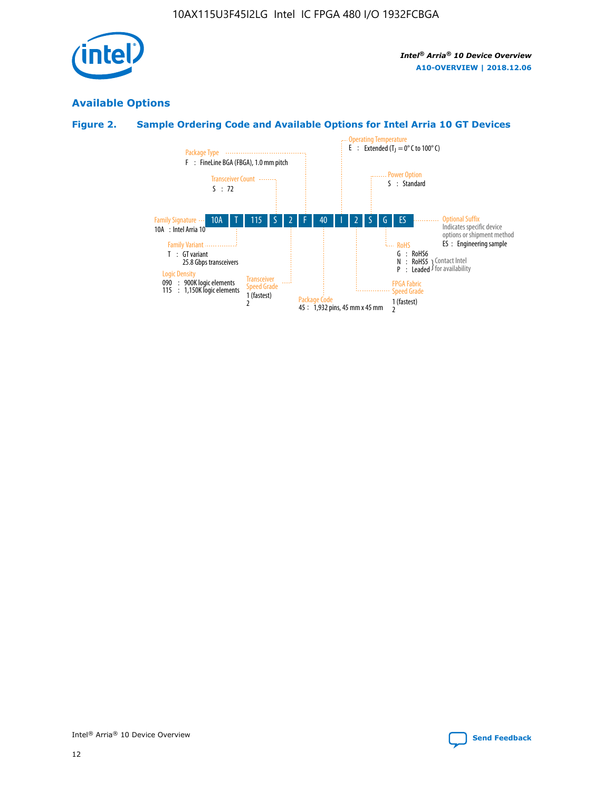

### **Available Options**

### **Figure 2. Sample Ordering Code and Available Options for Intel Arria 10 GT Devices**

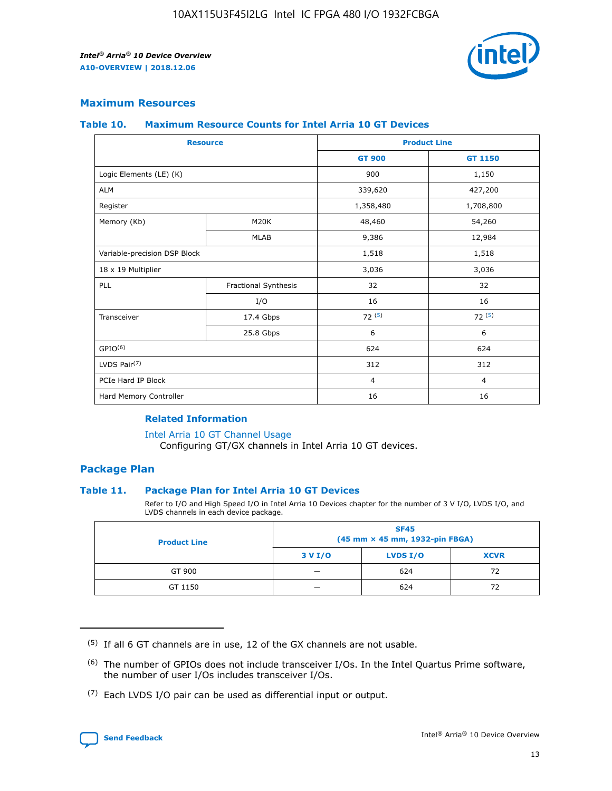

### **Maximum Resources**

#### **Table 10. Maximum Resource Counts for Intel Arria 10 GT Devices**

| <b>Resource</b>              |                      |                | <b>Product Line</b> |  |
|------------------------------|----------------------|----------------|---------------------|--|
|                              |                      | <b>GT 900</b>  | GT 1150             |  |
| Logic Elements (LE) (K)      |                      | 900            | 1,150               |  |
| <b>ALM</b>                   |                      | 339,620        | 427,200             |  |
| Register                     |                      | 1,358,480      | 1,708,800           |  |
| Memory (Kb)                  | M20K                 | 48,460         | 54,260              |  |
|                              | <b>MLAB</b>          | 9,386          | 12,984              |  |
| Variable-precision DSP Block |                      | 1,518          | 1,518               |  |
| 18 x 19 Multiplier           |                      | 3,036          | 3,036               |  |
| PLL                          | Fractional Synthesis | 32             | 32                  |  |
|                              | I/O                  | 16             | 16                  |  |
| Transceiver                  | 17.4 Gbps            | 72(5)          | 72(5)               |  |
|                              | 25.8 Gbps            | 6              | 6                   |  |
| GPIO <sup>(6)</sup>          |                      | 624            | 624                 |  |
| LVDS Pair $(7)$              |                      | 312            | 312                 |  |
| PCIe Hard IP Block           |                      | $\overline{4}$ | $\overline{4}$      |  |
| Hard Memory Controller       |                      | 16             | 16                  |  |

### **Related Information**

#### [Intel Arria 10 GT Channel Usage](https://www.intel.com/content/www/us/en/programmable/documentation/nik1398707230472.html#nik1398707008178)

Configuring GT/GX channels in Intel Arria 10 GT devices.

### **Package Plan**

### **Table 11. Package Plan for Intel Arria 10 GT Devices**

Refer to I/O and High Speed I/O in Intel Arria 10 Devices chapter for the number of 3 V I/O, LVDS I/O, and LVDS channels in each device package.

| <b>Product Line</b> | <b>SF45</b><br>(45 mm × 45 mm, 1932-pin FBGA) |                 |             |  |  |  |
|---------------------|-----------------------------------------------|-----------------|-------------|--|--|--|
|                     | 3 V I/O                                       | <b>LVDS I/O</b> | <b>XCVR</b> |  |  |  |
| GT 900              |                                               | 624             | 72          |  |  |  |
| GT 1150             |                                               | 624             | 72          |  |  |  |

<sup>(7)</sup> Each LVDS I/O pair can be used as differential input or output.



 $(5)$  If all 6 GT channels are in use, 12 of the GX channels are not usable.

<sup>(6)</sup> The number of GPIOs does not include transceiver I/Os. In the Intel Quartus Prime software, the number of user I/Os includes transceiver I/Os.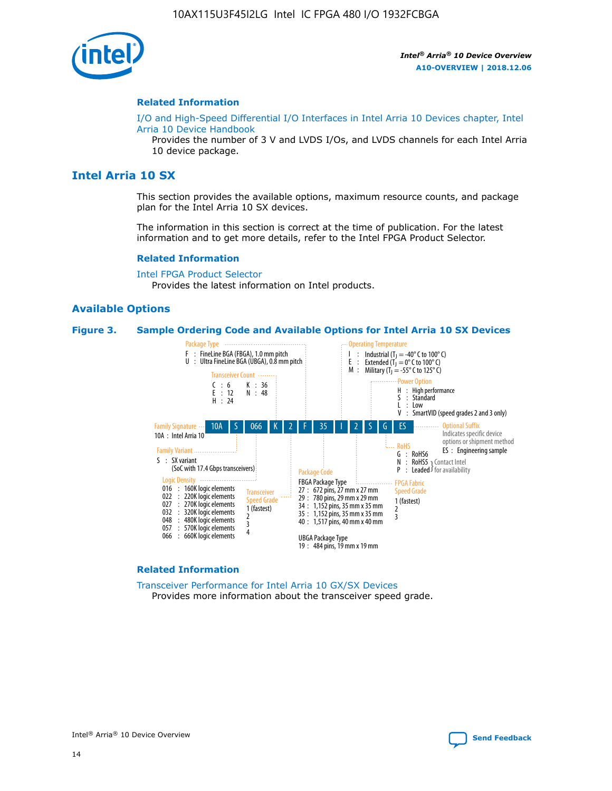

#### **Related Information**

[I/O and High-Speed Differential I/O Interfaces in Intel Arria 10 Devices chapter, Intel](https://www.intel.com/content/www/us/en/programmable/documentation/sam1403482614086.html#sam1403482030321) [Arria 10 Device Handbook](https://www.intel.com/content/www/us/en/programmable/documentation/sam1403482614086.html#sam1403482030321)

Provides the number of 3 V and LVDS I/Os, and LVDS channels for each Intel Arria 10 device package.

### **Intel Arria 10 SX**

This section provides the available options, maximum resource counts, and package plan for the Intel Arria 10 SX devices.

The information in this section is correct at the time of publication. For the latest information and to get more details, refer to the Intel FPGA Product Selector.

#### **Related Information**

[Intel FPGA Product Selector](http://www.altera.com/products/selector/psg-selector.html) Provides the latest information on Intel products.

#### **Available Options**

#### **Figure 3. Sample Ordering Code and Available Options for Intel Arria 10 SX Devices**



#### **Related Information**

[Transceiver Performance for Intel Arria 10 GX/SX Devices](https://www.intel.com/content/www/us/en/programmable/documentation/mcn1413182292568.html#mcn1413213965502) Provides more information about the transceiver speed grade.

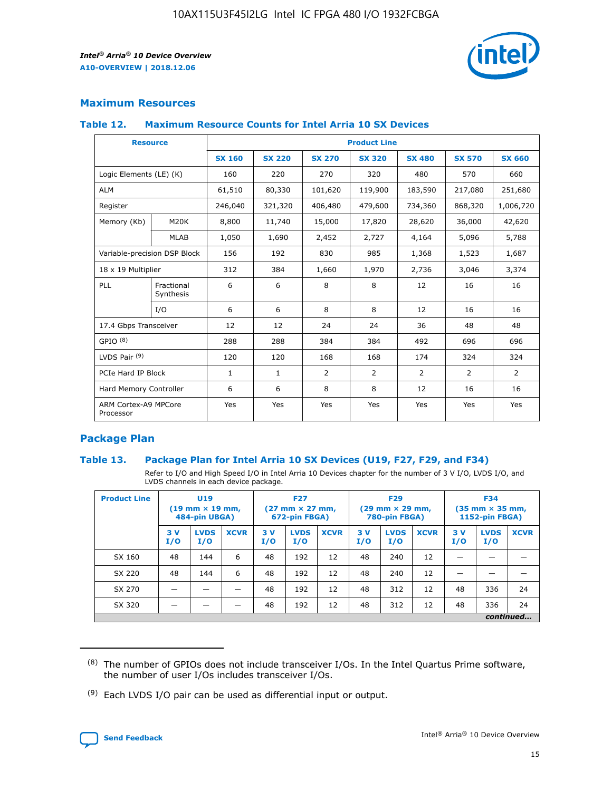

### **Maximum Resources**

#### **Table 12. Maximum Resource Counts for Intel Arria 10 SX Devices**

| <b>Resource</b>                   |                         | <b>Product Line</b> |               |                |                |                |                |                |  |  |  |
|-----------------------------------|-------------------------|---------------------|---------------|----------------|----------------|----------------|----------------|----------------|--|--|--|
|                                   |                         | <b>SX 160</b>       | <b>SX 220</b> | <b>SX 270</b>  | <b>SX 320</b>  | <b>SX 480</b>  | <b>SX 570</b>  | <b>SX 660</b>  |  |  |  |
| Logic Elements (LE) (K)           |                         | 160                 | 220           | 270            | 320            | 480            | 570            | 660            |  |  |  |
| <b>ALM</b>                        |                         | 61,510              | 80,330        | 101,620        | 119,900        | 183,590        | 217,080        | 251,680        |  |  |  |
| Register                          |                         | 246,040             | 321,320       | 406,480        | 479,600        | 734,360        | 868,320        | 1,006,720      |  |  |  |
| Memory (Kb)                       | M <sub>20</sub> K       | 8,800               | 11,740        | 15,000         | 17,820         | 28,620         | 36,000         | 42,620         |  |  |  |
|                                   | <b>MLAB</b>             | 1,050               | 1,690         | 2,452          | 2,727          | 4,164          | 5,096          | 5,788          |  |  |  |
| Variable-precision DSP Block      |                         | 156                 | 192           | 830            | 985            | 1,368          | 1,523          | 1,687          |  |  |  |
| 18 x 19 Multiplier                |                         | 312                 | 384           | 1,660          | 1,970          | 2,736          | 3,046          | 3,374          |  |  |  |
| PLL                               | Fractional<br>Synthesis | 6                   | 6             | 8              | 8              | 12             | 16             | 16             |  |  |  |
|                                   | I/O                     | 6                   | 6             | 8              | 8              | 12             | 16             | 16             |  |  |  |
| 17.4 Gbps Transceiver             |                         | 12                  | 12            | 24             | 24             | 36             | 48             | 48             |  |  |  |
| GPIO <sup>(8)</sup>               |                         | 288                 | 288           | 384            | 384            | 492            | 696            | 696            |  |  |  |
| LVDS Pair $(9)$                   |                         | 120                 | 120           | 168            | 168            | 174            | 324            | 324            |  |  |  |
| PCIe Hard IP Block                |                         | $\mathbf{1}$        | $\mathbf{1}$  | $\overline{2}$ | $\overline{2}$ | $\overline{2}$ | $\overline{2}$ | $\overline{2}$ |  |  |  |
| Hard Memory Controller            |                         | 6                   | 6             | 8              | 8              | 12             | 16             | 16             |  |  |  |
| ARM Cortex-A9 MPCore<br>Processor |                         | Yes                 | Yes           | Yes            | Yes            | Yes            | Yes            | <b>Yes</b>     |  |  |  |

### **Package Plan**

### **Table 13. Package Plan for Intel Arria 10 SX Devices (U19, F27, F29, and F34)**

Refer to I/O and High Speed I/O in Intel Arria 10 Devices chapter for the number of 3 V I/O, LVDS I/O, and LVDS channels in each device package.

| <b>Product Line</b> | U19<br>$(19 \text{ mm} \times 19 \text{ mm})$<br>484-pin UBGA) |                    | <b>F27</b><br>$(27 \text{ mm} \times 27 \text{ mm})$<br>672-pin FBGA) |           | <b>F29</b><br>$(29 \text{ mm} \times 29 \text{ mm})$<br>780-pin FBGA) |             |            | <b>F34</b><br>$(35 \text{ mm} \times 35 \text{ mm})$<br><b>1152-pin FBGA)</b> |             |           |                    |             |
|---------------------|----------------------------------------------------------------|--------------------|-----------------------------------------------------------------------|-----------|-----------------------------------------------------------------------|-------------|------------|-------------------------------------------------------------------------------|-------------|-----------|--------------------|-------------|
|                     | 3V<br>I/O                                                      | <b>LVDS</b><br>I/O | <b>XCVR</b>                                                           | 3V<br>I/O | <b>LVDS</b><br>I/O                                                    | <b>XCVR</b> | 3 V<br>I/O | <b>LVDS</b><br>I/O                                                            | <b>XCVR</b> | 3V<br>I/O | <b>LVDS</b><br>I/O | <b>XCVR</b> |
| SX 160              | 48                                                             | 144                | 6                                                                     | 48        | 192                                                                   | 12          | 48         | 240                                                                           | 12          | –         |                    |             |
| SX 220              | 48                                                             | 144                | 6                                                                     | 48        | 192                                                                   | 12          | 48         | 240                                                                           | 12          |           |                    |             |
| SX 270              |                                                                |                    |                                                                       | 48        | 192                                                                   | 12          | 48         | 312                                                                           | 12          | 48        | 336                | 24          |
| SX 320              |                                                                |                    |                                                                       | 48        | 192                                                                   | 12          | 48         | 312                                                                           | 12          | 48        | 336                | 24          |
|                     | continued                                                      |                    |                                                                       |           |                                                                       |             |            |                                                                               |             |           |                    |             |

 $(8)$  The number of GPIOs does not include transceiver I/Os. In the Intel Quartus Prime software, the number of user I/Os includes transceiver I/Os.

 $(9)$  Each LVDS I/O pair can be used as differential input or output.

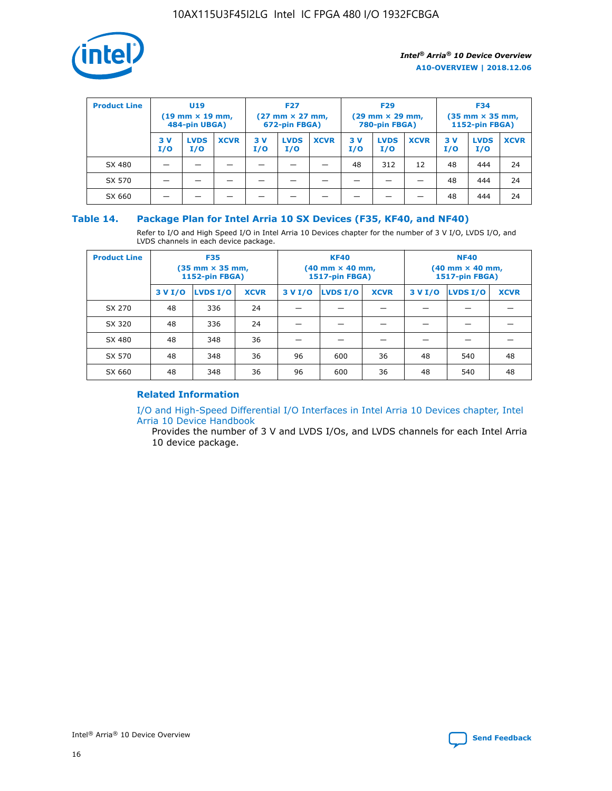

| <b>Product Line</b> | U <sub>19</sub><br>$(19 \text{ mm} \times 19 \text{ mm})$<br>484-pin UBGA) |                    | <b>F27</b><br>$(27 \text{ mm} \times 27 \text{ mm})$<br>672-pin FBGA) |            | <b>F29</b><br>$(29 \text{ mm} \times 29 \text{ mm})$<br>780-pin FBGA) |             |           | <b>F34</b><br>$(35$ mm $\times$ 35 mm,<br><b>1152-pin FBGA)</b> |             |           |                    |             |
|---------------------|----------------------------------------------------------------------------|--------------------|-----------------------------------------------------------------------|------------|-----------------------------------------------------------------------|-------------|-----------|-----------------------------------------------------------------|-------------|-----------|--------------------|-------------|
|                     | 3V<br>I/O                                                                  | <b>LVDS</b><br>I/O | <b>XCVR</b>                                                           | 3 V<br>I/O | <b>LVDS</b><br>I/O                                                    | <b>XCVR</b> | 3V<br>I/O | <b>LVDS</b><br>I/O                                              | <b>XCVR</b> | 3V<br>I/O | <b>LVDS</b><br>I/O | <b>XCVR</b> |
| SX 480              |                                                                            |                    |                                                                       |            |                                                                       |             | 48        | 312                                                             | 12          | 48        | 444                | 24          |
| SX 570              |                                                                            |                    |                                                                       |            |                                                                       |             |           |                                                                 |             | 48        | 444                | 24          |
| SX 660              |                                                                            |                    |                                                                       |            |                                                                       |             |           |                                                                 |             | 48        | 444                | 24          |

### **Table 14. Package Plan for Intel Arria 10 SX Devices (F35, KF40, and NF40)**

Refer to I/O and High Speed I/O in Intel Arria 10 Devices chapter for the number of 3 V I/O, LVDS I/O, and LVDS channels in each device package.

| <b>Product Line</b> | <b>F35</b><br>(35 mm × 35 mm,<br><b>1152-pin FBGA)</b> |          |             |                                           | <b>KF40</b><br>(40 mm × 40 mm,<br>1517-pin FBGA) |    | <b>NF40</b><br>$(40 \text{ mm} \times 40 \text{ mm})$<br>1517-pin FBGA) |          |             |  |
|---------------------|--------------------------------------------------------|----------|-------------|-------------------------------------------|--------------------------------------------------|----|-------------------------------------------------------------------------|----------|-------------|--|
|                     | 3 V I/O                                                | LVDS I/O | <b>XCVR</b> | <b>LVDS I/O</b><br>3 V I/O<br><b>XCVR</b> |                                                  |    | 3 V I/O                                                                 | LVDS I/O | <b>XCVR</b> |  |
| SX 270              | 48                                                     | 336      | 24          |                                           |                                                  |    |                                                                         |          |             |  |
| SX 320              | 48                                                     | 336      | 24          |                                           |                                                  |    |                                                                         |          |             |  |
| SX 480              | 48                                                     | 348      | 36          |                                           |                                                  |    |                                                                         |          |             |  |
| SX 570              | 48                                                     | 348      | 36          | 96                                        | 600                                              | 36 | 48                                                                      | 540      | 48          |  |
| SX 660              | 48                                                     | 348      | 36          | 96                                        | 600                                              | 36 | 48                                                                      | 540      | 48          |  |

### **Related Information**

[I/O and High-Speed Differential I/O Interfaces in Intel Arria 10 Devices chapter, Intel](https://www.intel.com/content/www/us/en/programmable/documentation/sam1403482614086.html#sam1403482030321) [Arria 10 Device Handbook](https://www.intel.com/content/www/us/en/programmable/documentation/sam1403482614086.html#sam1403482030321)

Provides the number of 3 V and LVDS I/Os, and LVDS channels for each Intel Arria 10 device package.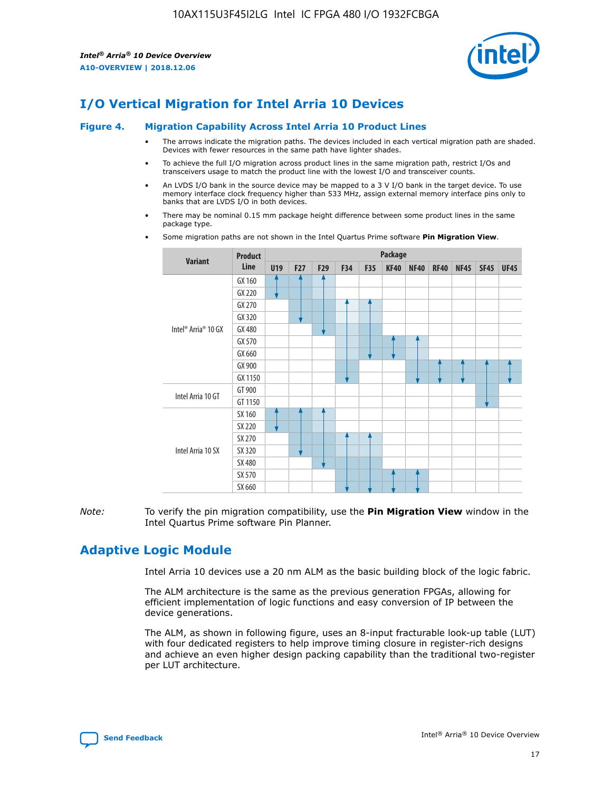

### **I/O Vertical Migration for Intel Arria 10 Devices**

#### **Figure 4. Migration Capability Across Intel Arria 10 Product Lines**

- The arrows indicate the migration paths. The devices included in each vertical migration path are shaded. Devices with fewer resources in the same path have lighter shades.
- To achieve the full I/O migration across product lines in the same migration path, restrict I/Os and transceivers usage to match the product line with the lowest I/O and transceiver counts.
- An LVDS I/O bank in the source device may be mapped to a 3 V I/O bank in the target device. To use memory interface clock frequency higher than 533 MHz, assign external memory interface pins only to banks that are LVDS I/O in both devices.
- There may be nominal 0.15 mm package height difference between some product lines in the same package type.
	- **Variant Product Line Package U19 F27 F29 F34 F35 KF40 NF40 RF40 NF45 SF45 UF45** Intel® Arria® 10 GX GX 160 GX 220 GX 270 GX 320 GX 480 GX 570 GX 660 GX 900 GX 1150 Intel Arria 10 GT GT 900 GT 1150 Intel Arria 10 SX SX 160 SX 220 SX 270 SX 320 SX 480 SX 570 SX 660
- Some migration paths are not shown in the Intel Quartus Prime software **Pin Migration View**.

*Note:* To verify the pin migration compatibility, use the **Pin Migration View** window in the Intel Quartus Prime software Pin Planner.

### **Adaptive Logic Module**

Intel Arria 10 devices use a 20 nm ALM as the basic building block of the logic fabric.

The ALM architecture is the same as the previous generation FPGAs, allowing for efficient implementation of logic functions and easy conversion of IP between the device generations.

The ALM, as shown in following figure, uses an 8-input fracturable look-up table (LUT) with four dedicated registers to help improve timing closure in register-rich designs and achieve an even higher design packing capability than the traditional two-register per LUT architecture.

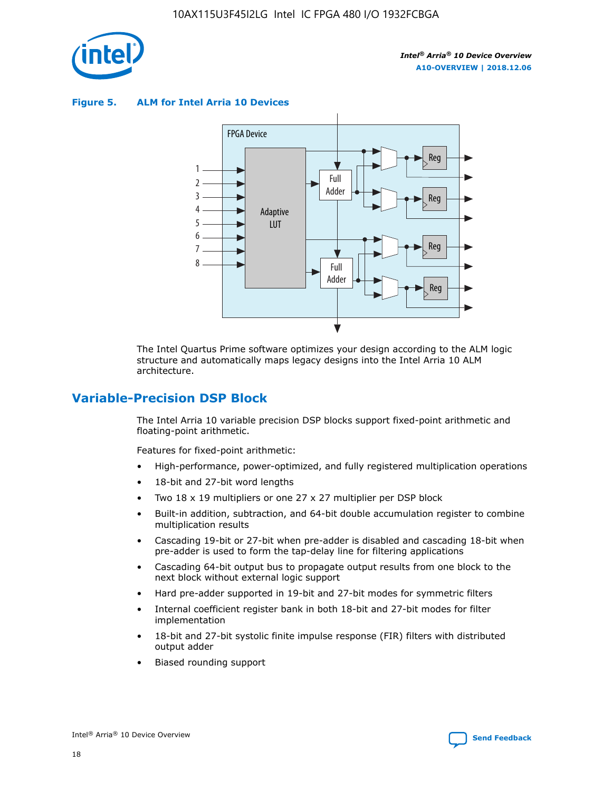

**Figure 5. ALM for Intel Arria 10 Devices**



The Intel Quartus Prime software optimizes your design according to the ALM logic structure and automatically maps legacy designs into the Intel Arria 10 ALM architecture.

### **Variable-Precision DSP Block**

The Intel Arria 10 variable precision DSP blocks support fixed-point arithmetic and floating-point arithmetic.

Features for fixed-point arithmetic:

- High-performance, power-optimized, and fully registered multiplication operations
- 18-bit and 27-bit word lengths
- Two 18 x 19 multipliers or one 27 x 27 multiplier per DSP block
- Built-in addition, subtraction, and 64-bit double accumulation register to combine multiplication results
- Cascading 19-bit or 27-bit when pre-adder is disabled and cascading 18-bit when pre-adder is used to form the tap-delay line for filtering applications
- Cascading 64-bit output bus to propagate output results from one block to the next block without external logic support
- Hard pre-adder supported in 19-bit and 27-bit modes for symmetric filters
- Internal coefficient register bank in both 18-bit and 27-bit modes for filter implementation
- 18-bit and 27-bit systolic finite impulse response (FIR) filters with distributed output adder
- Biased rounding support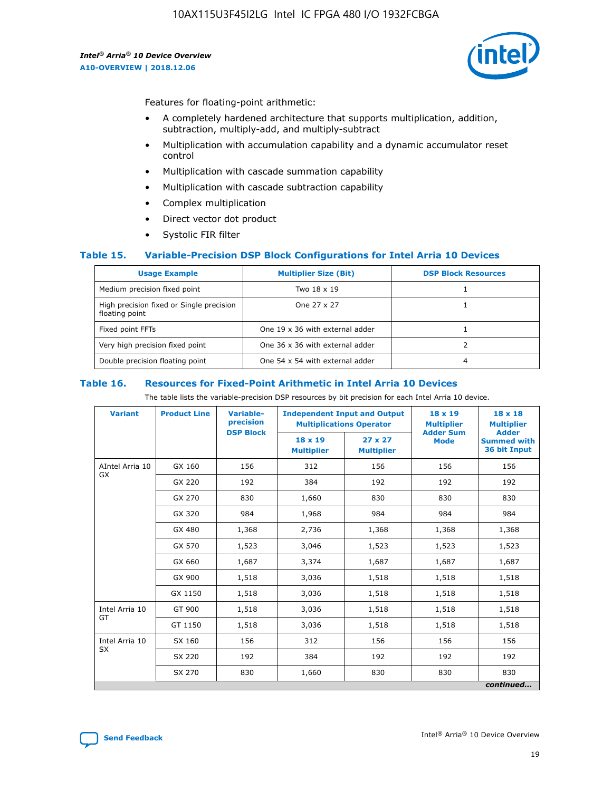

Features for floating-point arithmetic:

- A completely hardened architecture that supports multiplication, addition, subtraction, multiply-add, and multiply-subtract
- Multiplication with accumulation capability and a dynamic accumulator reset control
- Multiplication with cascade summation capability
- Multiplication with cascade subtraction capability
- Complex multiplication
- Direct vector dot product
- Systolic FIR filter

### **Table 15. Variable-Precision DSP Block Configurations for Intel Arria 10 Devices**

| <b>Usage Example</b>                                       | <b>Multiplier Size (Bit)</b>    | <b>DSP Block Resources</b> |
|------------------------------------------------------------|---------------------------------|----------------------------|
| Medium precision fixed point                               | Two 18 x 19                     |                            |
| High precision fixed or Single precision<br>floating point | One 27 x 27                     |                            |
| Fixed point FFTs                                           | One 19 x 36 with external adder |                            |
| Very high precision fixed point                            | One 36 x 36 with external adder |                            |
| Double precision floating point                            | One 54 x 54 with external adder | 4                          |

#### **Table 16. Resources for Fixed-Point Arithmetic in Intel Arria 10 Devices**

The table lists the variable-precision DSP resources by bit precision for each Intel Arria 10 device.

| <b>Variant</b>  | <b>Product Line</b> | <b>Variable-</b><br>precision<br><b>DSP Block</b> | <b>Independent Input and Output</b><br><b>Multiplications Operator</b> |                                     | 18 x 19<br><b>Multiplier</b><br><b>Adder Sum</b> | $18 \times 18$<br><b>Multiplier</b><br><b>Adder</b> |
|-----------------|---------------------|---------------------------------------------------|------------------------------------------------------------------------|-------------------------------------|--------------------------------------------------|-----------------------------------------------------|
|                 |                     |                                                   | 18 x 19<br><b>Multiplier</b>                                           | $27 \times 27$<br><b>Multiplier</b> | <b>Mode</b>                                      | <b>Summed with</b><br>36 bit Input                  |
| AIntel Arria 10 | GX 160              | 156                                               | 312                                                                    | 156                                 | 156                                              | 156                                                 |
| GX              | GX 220              | 192                                               | 384                                                                    | 192                                 | 192                                              | 192                                                 |
|                 | GX 270              | 830                                               | 1,660                                                                  | 830                                 | 830                                              | 830                                                 |
|                 | GX 320              | 984                                               | 1,968                                                                  | 984                                 | 984                                              | 984                                                 |
|                 | GX 480              | 1,368                                             | 2,736                                                                  | 1,368                               | 1,368                                            | 1,368                                               |
|                 | GX 570              | 1,523                                             | 3,046                                                                  | 1,523                               | 1,523                                            | 1,523                                               |
|                 | GX 660              | 1,687                                             | 3,374                                                                  | 1,687                               | 1,687                                            | 1,687                                               |
|                 | GX 900              | 1,518                                             | 3,036                                                                  | 1,518                               | 1,518                                            | 1,518                                               |
|                 | GX 1150             | 1,518                                             | 3,036                                                                  | 1,518                               | 1,518                                            | 1,518                                               |
| Intel Arria 10  | GT 900              | 1,518                                             | 3,036                                                                  | 1,518                               | 1,518                                            | 1,518                                               |
| GT              | GT 1150             | 1,518                                             | 3,036                                                                  | 1,518                               | 1,518                                            | 1,518                                               |
| Intel Arria 10  | SX 160              | 156                                               | 312                                                                    | 156                                 | 156                                              | 156                                                 |
| <b>SX</b>       | SX 220              | 192                                               | 384                                                                    | 192                                 | 192                                              | 192                                                 |
|                 | SX 270              | 830                                               | 1,660                                                                  | 830                                 | 830                                              | 830                                                 |
|                 |                     |                                                   |                                                                        |                                     |                                                  | continued                                           |

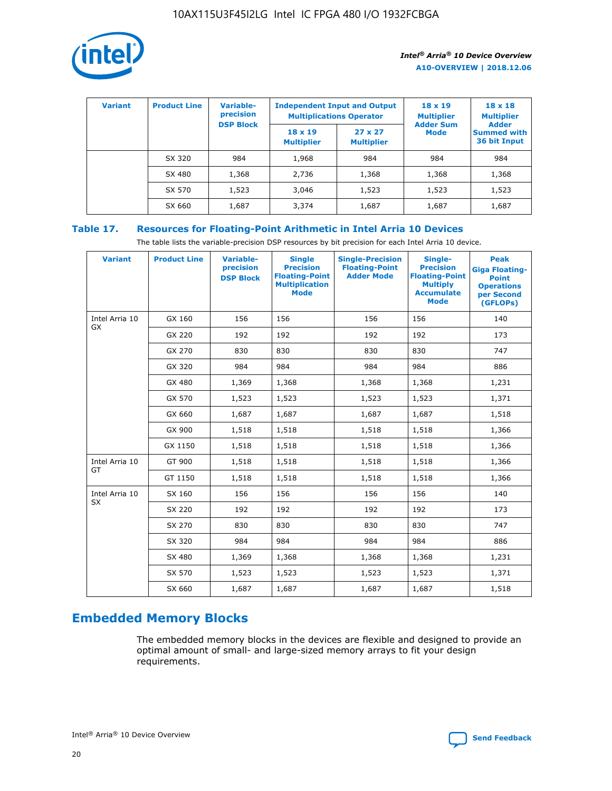

| <b>Variant</b> | <b>Product Line</b> | <b>Variable-</b><br>precision<br><b>DSP Block</b> | <b>Independent Input and Output</b><br><b>Multiplications Operator</b> |                                     | $18 \times 19$<br><b>Multiplier</b><br><b>Adder Sum</b> | $18 \times 18$<br><b>Multiplier</b><br><b>Adder</b> |  |
|----------------|---------------------|---------------------------------------------------|------------------------------------------------------------------------|-------------------------------------|---------------------------------------------------------|-----------------------------------------------------|--|
|                |                     |                                                   | $18 \times 19$<br><b>Multiplier</b>                                    | $27 \times 27$<br><b>Multiplier</b> | <b>Mode</b>                                             | <b>Summed with</b><br>36 bit Input                  |  |
|                | SX 320              | 984                                               | 1,968                                                                  | 984                                 | 984                                                     | 984                                                 |  |
|                | SX 480              | 1,368                                             | 2,736                                                                  | 1,368                               | 1,368                                                   | 1,368                                               |  |
|                | SX 570              | 1,523                                             | 3,046                                                                  | 1,523                               | 1,523                                                   | 1,523                                               |  |
|                | SX 660              | 1,687                                             | 3,374                                                                  | 1,687                               | 1,687                                                   | 1,687                                               |  |

### **Table 17. Resources for Floating-Point Arithmetic in Intel Arria 10 Devices**

The table lists the variable-precision DSP resources by bit precision for each Intel Arria 10 device.

| <b>Variant</b>              | <b>Product Line</b> | <b>Variable-</b><br>precision<br><b>DSP Block</b> | <b>Single</b><br><b>Precision</b><br><b>Floating-Point</b><br><b>Multiplication</b><br><b>Mode</b> | <b>Single-Precision</b><br><b>Floating-Point</b><br><b>Adder Mode</b> | Single-<br><b>Precision</b><br><b>Floating-Point</b><br><b>Multiply</b><br><b>Accumulate</b><br><b>Mode</b> | <b>Peak</b><br><b>Giga Floating-</b><br><b>Point</b><br><b>Operations</b><br>per Second<br>(GFLOPs) |
|-----------------------------|---------------------|---------------------------------------------------|----------------------------------------------------------------------------------------------------|-----------------------------------------------------------------------|-------------------------------------------------------------------------------------------------------------|-----------------------------------------------------------------------------------------------------|
| Intel Arria 10<br><b>GX</b> | GX 160              | 156                                               | 156                                                                                                | 156                                                                   | 156                                                                                                         | 140                                                                                                 |
|                             | GX 220              | 192                                               | 192                                                                                                | 192                                                                   | 192                                                                                                         | 173                                                                                                 |
|                             | GX 270              | 830                                               | 830                                                                                                | 830                                                                   | 830                                                                                                         | 747                                                                                                 |
|                             | GX 320              | 984                                               | 984                                                                                                | 984                                                                   | 984                                                                                                         | 886                                                                                                 |
|                             | GX 480              | 1,369                                             | 1,368                                                                                              | 1,368                                                                 | 1,368                                                                                                       | 1,231                                                                                               |
|                             | GX 570              | 1,523                                             | 1,523                                                                                              | 1,523                                                                 | 1,523                                                                                                       | 1,371                                                                                               |
|                             | GX 660              | 1,687                                             | 1,687                                                                                              | 1,687                                                                 | 1,687                                                                                                       | 1,518                                                                                               |
|                             | GX 900              | 1,518                                             | 1,518                                                                                              | 1,518                                                                 | 1,518                                                                                                       | 1,366                                                                                               |
|                             | GX 1150             | 1,518                                             | 1,518                                                                                              | 1,518                                                                 | 1,518                                                                                                       | 1,366                                                                                               |
| Intel Arria 10              | GT 900              | 1,518                                             | 1,518                                                                                              | 1,518                                                                 | 1,518                                                                                                       | 1,366                                                                                               |
| GT                          | GT 1150             | 1,518                                             | 1,518                                                                                              | 1,518                                                                 | 1,518                                                                                                       | 1,366                                                                                               |
| Intel Arria 10              | SX 160              | 156                                               | 156                                                                                                | 156                                                                   | 156                                                                                                         | 140                                                                                                 |
| <b>SX</b>                   | SX 220              | 192                                               | 192                                                                                                | 192                                                                   | 192                                                                                                         | 173                                                                                                 |
|                             | SX 270              | 830                                               | 830                                                                                                | 830                                                                   | 830                                                                                                         | 747                                                                                                 |
|                             | SX 320              | 984                                               | 984                                                                                                | 984                                                                   | 984                                                                                                         | 886                                                                                                 |
|                             | SX 480              | 1,369                                             | 1,368                                                                                              | 1,368                                                                 | 1,368                                                                                                       | 1,231                                                                                               |
|                             | SX 570              | 1,523                                             | 1,523                                                                                              | 1,523                                                                 | 1,523                                                                                                       | 1,371                                                                                               |
|                             | SX 660              | 1,687                                             | 1,687                                                                                              | 1,687                                                                 | 1,687                                                                                                       | 1,518                                                                                               |

### **Embedded Memory Blocks**

The embedded memory blocks in the devices are flexible and designed to provide an optimal amount of small- and large-sized memory arrays to fit your design requirements.

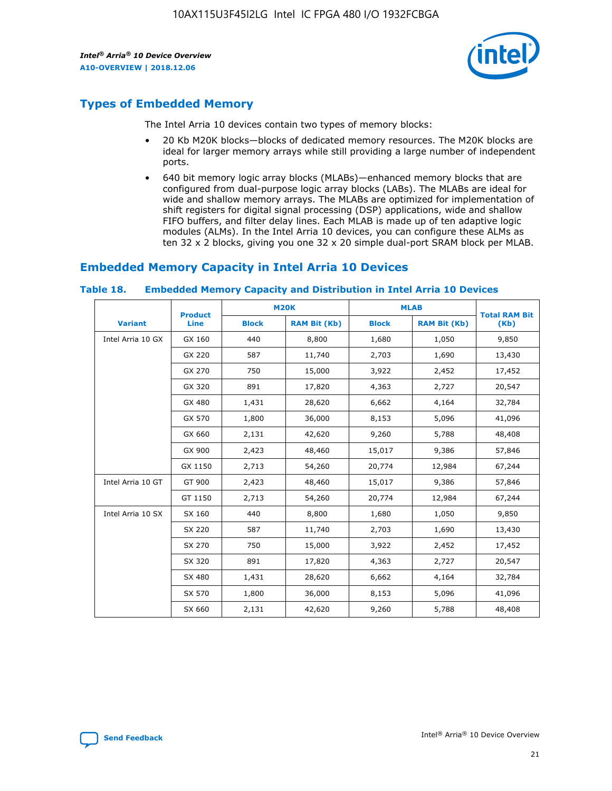

### **Types of Embedded Memory**

The Intel Arria 10 devices contain two types of memory blocks:

- 20 Kb M20K blocks—blocks of dedicated memory resources. The M20K blocks are ideal for larger memory arrays while still providing a large number of independent ports.
- 640 bit memory logic array blocks (MLABs)—enhanced memory blocks that are configured from dual-purpose logic array blocks (LABs). The MLABs are ideal for wide and shallow memory arrays. The MLABs are optimized for implementation of shift registers for digital signal processing (DSP) applications, wide and shallow FIFO buffers, and filter delay lines. Each MLAB is made up of ten adaptive logic modules (ALMs). In the Intel Arria 10 devices, you can configure these ALMs as ten 32 x 2 blocks, giving you one 32 x 20 simple dual-port SRAM block per MLAB.

### **Embedded Memory Capacity in Intel Arria 10 Devices**

|                   | <b>Product</b> |              | <b>M20K</b>         | <b>MLAB</b>  |                     | <b>Total RAM Bit</b> |
|-------------------|----------------|--------------|---------------------|--------------|---------------------|----------------------|
| <b>Variant</b>    | <b>Line</b>    | <b>Block</b> | <b>RAM Bit (Kb)</b> | <b>Block</b> | <b>RAM Bit (Kb)</b> | (Kb)                 |
| Intel Arria 10 GX | GX 160         | 440          | 8,800               | 1,680        | 1,050               | 9,850                |
|                   | GX 220         | 587          | 11,740              | 2,703        | 1,690               | 13,430               |
|                   | GX 270         | 750          | 15,000              | 3,922        | 2,452               | 17,452               |
|                   | GX 320         | 891          | 17,820              | 4,363        | 2,727               | 20,547               |
|                   | GX 480         | 1,431        | 28,620              | 6,662        | 4,164               | 32,784               |
|                   | GX 570         | 1,800        | 36,000              | 8,153        | 5,096               | 41,096               |
|                   | GX 660         | 2,131        | 42,620              | 9,260        | 5,788               | 48,408               |
|                   | GX 900         | 2,423        | 48,460              | 15,017       | 9,386               | 57,846               |
|                   | GX 1150        | 2,713        | 54,260              | 20,774       | 12,984              | 67,244               |
| Intel Arria 10 GT | GT 900         | 2,423        | 48,460              | 15,017       | 9,386               | 57,846               |
|                   | GT 1150        | 2,713        | 54,260              | 20,774       | 12,984              | 67,244               |
| Intel Arria 10 SX | SX 160         | 440          | 8,800               | 1,680        | 1,050               | 9,850                |
|                   | SX 220         | 587          | 11,740              | 2,703        | 1,690               | 13,430               |
|                   | SX 270         | 750          | 15,000              | 3,922        | 2,452               | 17,452               |
|                   | SX 320         | 891          | 17,820              | 4,363        | 2,727               | 20,547               |
|                   | SX 480         | 1,431        | 28,620              | 6,662        | 4,164               | 32,784               |
|                   | SX 570         | 1,800        | 36,000              | 8,153        | 5,096               | 41,096               |
|                   | SX 660         | 2,131        | 42,620              | 9,260        | 5,788               | 48,408               |

#### **Table 18. Embedded Memory Capacity and Distribution in Intel Arria 10 Devices**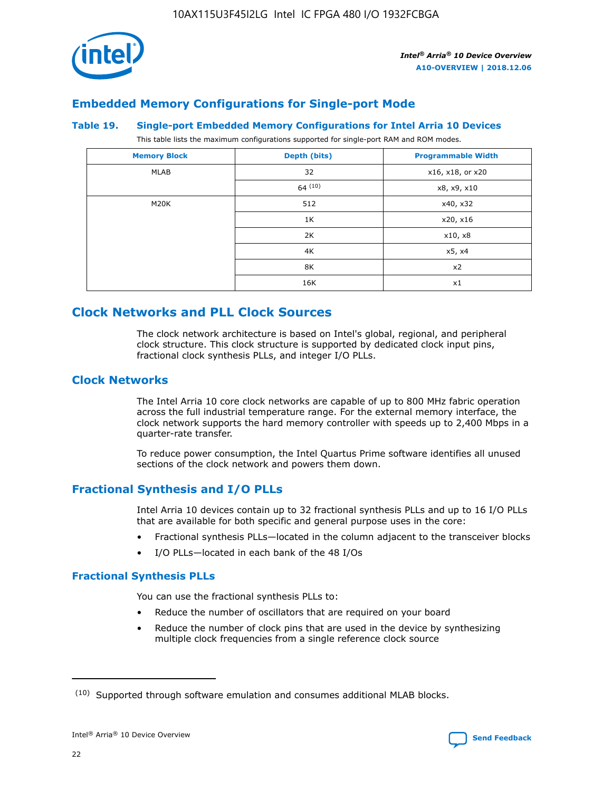

### **Embedded Memory Configurations for Single-port Mode**

#### **Table 19. Single-port Embedded Memory Configurations for Intel Arria 10 Devices**

This table lists the maximum configurations supported for single-port RAM and ROM modes.

| <b>Memory Block</b> | Depth (bits) | <b>Programmable Width</b> |
|---------------------|--------------|---------------------------|
| MLAB                | 32           | x16, x18, or x20          |
|                     | 64(10)       | x8, x9, x10               |
| M20K                | 512          | x40, x32                  |
|                     | 1K           | x20, x16                  |
|                     | 2K           | x10, x8                   |
|                     | 4K           | x5, x4                    |
|                     | 8K           | x2                        |
|                     | 16K          | x1                        |

### **Clock Networks and PLL Clock Sources**

The clock network architecture is based on Intel's global, regional, and peripheral clock structure. This clock structure is supported by dedicated clock input pins, fractional clock synthesis PLLs, and integer I/O PLLs.

### **Clock Networks**

The Intel Arria 10 core clock networks are capable of up to 800 MHz fabric operation across the full industrial temperature range. For the external memory interface, the clock network supports the hard memory controller with speeds up to 2,400 Mbps in a quarter-rate transfer.

To reduce power consumption, the Intel Quartus Prime software identifies all unused sections of the clock network and powers them down.

### **Fractional Synthesis and I/O PLLs**

Intel Arria 10 devices contain up to 32 fractional synthesis PLLs and up to 16 I/O PLLs that are available for both specific and general purpose uses in the core:

- Fractional synthesis PLLs—located in the column adjacent to the transceiver blocks
- I/O PLLs—located in each bank of the 48 I/Os

### **Fractional Synthesis PLLs**

You can use the fractional synthesis PLLs to:

- Reduce the number of oscillators that are required on your board
- Reduce the number of clock pins that are used in the device by synthesizing multiple clock frequencies from a single reference clock source

<sup>(10)</sup> Supported through software emulation and consumes additional MLAB blocks.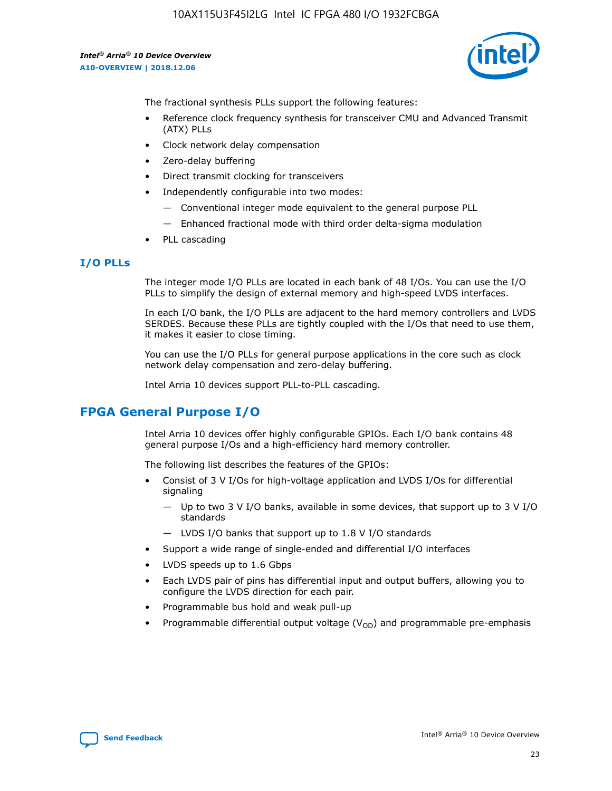

The fractional synthesis PLLs support the following features:

- Reference clock frequency synthesis for transceiver CMU and Advanced Transmit (ATX) PLLs
- Clock network delay compensation
- Zero-delay buffering
- Direct transmit clocking for transceivers
- Independently configurable into two modes:
	- Conventional integer mode equivalent to the general purpose PLL
	- Enhanced fractional mode with third order delta-sigma modulation
- PLL cascading

### **I/O PLLs**

The integer mode I/O PLLs are located in each bank of 48 I/Os. You can use the I/O PLLs to simplify the design of external memory and high-speed LVDS interfaces.

In each I/O bank, the I/O PLLs are adjacent to the hard memory controllers and LVDS SERDES. Because these PLLs are tightly coupled with the I/Os that need to use them, it makes it easier to close timing.

You can use the I/O PLLs for general purpose applications in the core such as clock network delay compensation and zero-delay buffering.

Intel Arria 10 devices support PLL-to-PLL cascading.

### **FPGA General Purpose I/O**

Intel Arria 10 devices offer highly configurable GPIOs. Each I/O bank contains 48 general purpose I/Os and a high-efficiency hard memory controller.

The following list describes the features of the GPIOs:

- Consist of 3 V I/Os for high-voltage application and LVDS I/Os for differential signaling
	- Up to two 3 V I/O banks, available in some devices, that support up to 3 V I/O standards
	- LVDS I/O banks that support up to 1.8 V I/O standards
- Support a wide range of single-ended and differential I/O interfaces
- LVDS speeds up to 1.6 Gbps
- Each LVDS pair of pins has differential input and output buffers, allowing you to configure the LVDS direction for each pair.
- Programmable bus hold and weak pull-up
- Programmable differential output voltage  $(V_{OD})$  and programmable pre-emphasis

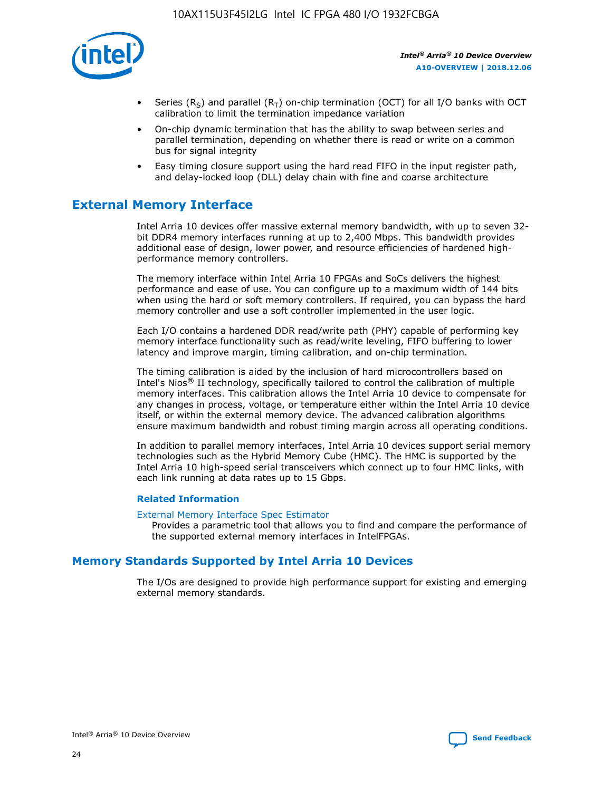

- Series (R<sub>S</sub>) and parallel (R<sub>T</sub>) on-chip termination (OCT) for all I/O banks with OCT calibration to limit the termination impedance variation
- On-chip dynamic termination that has the ability to swap between series and parallel termination, depending on whether there is read or write on a common bus for signal integrity
- Easy timing closure support using the hard read FIFO in the input register path, and delay-locked loop (DLL) delay chain with fine and coarse architecture

### **External Memory Interface**

Intel Arria 10 devices offer massive external memory bandwidth, with up to seven 32 bit DDR4 memory interfaces running at up to 2,400 Mbps. This bandwidth provides additional ease of design, lower power, and resource efficiencies of hardened highperformance memory controllers.

The memory interface within Intel Arria 10 FPGAs and SoCs delivers the highest performance and ease of use. You can configure up to a maximum width of 144 bits when using the hard or soft memory controllers. If required, you can bypass the hard memory controller and use a soft controller implemented in the user logic.

Each I/O contains a hardened DDR read/write path (PHY) capable of performing key memory interface functionality such as read/write leveling, FIFO buffering to lower latency and improve margin, timing calibration, and on-chip termination.

The timing calibration is aided by the inclusion of hard microcontrollers based on Intel's Nios® II technology, specifically tailored to control the calibration of multiple memory interfaces. This calibration allows the Intel Arria 10 device to compensate for any changes in process, voltage, or temperature either within the Intel Arria 10 device itself, or within the external memory device. The advanced calibration algorithms ensure maximum bandwidth and robust timing margin across all operating conditions.

In addition to parallel memory interfaces, Intel Arria 10 devices support serial memory technologies such as the Hybrid Memory Cube (HMC). The HMC is supported by the Intel Arria 10 high-speed serial transceivers which connect up to four HMC links, with each link running at data rates up to 15 Gbps.

### **Related Information**

#### [External Memory Interface Spec Estimator](http://www.altera.com/technology/memory/estimator/mem-emif-index.html)

Provides a parametric tool that allows you to find and compare the performance of the supported external memory interfaces in IntelFPGAs.

### **Memory Standards Supported by Intel Arria 10 Devices**

The I/Os are designed to provide high performance support for existing and emerging external memory standards.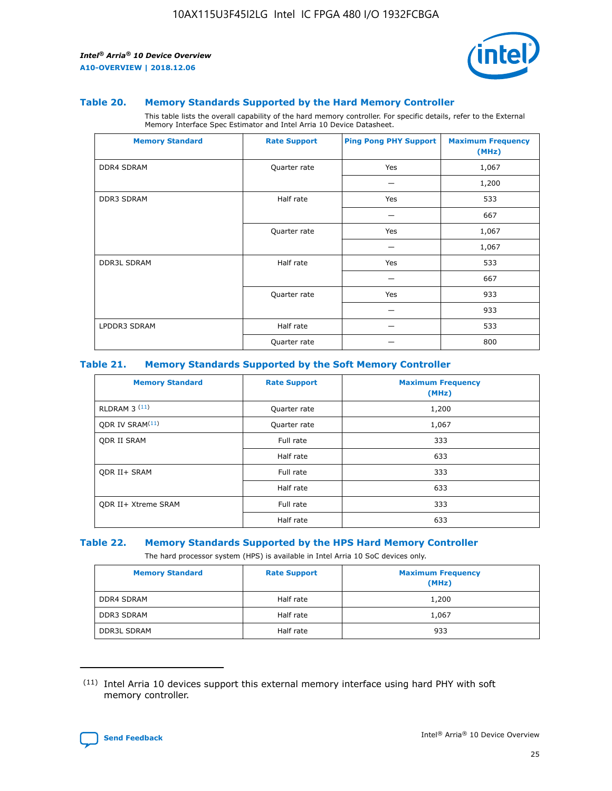

#### **Table 20. Memory Standards Supported by the Hard Memory Controller**

This table lists the overall capability of the hard memory controller. For specific details, refer to the External Memory Interface Spec Estimator and Intel Arria 10 Device Datasheet.

| <b>Memory Standard</b> | <b>Rate Support</b> | <b>Ping Pong PHY Support</b> | <b>Maximum Frequency</b><br>(MHz) |
|------------------------|---------------------|------------------------------|-----------------------------------|
| <b>DDR4 SDRAM</b>      | Quarter rate        | Yes                          | 1,067                             |
|                        |                     |                              | 1,200                             |
| DDR3 SDRAM             | Half rate           | Yes                          | 533                               |
|                        |                     |                              | 667                               |
|                        | Quarter rate        | Yes                          | 1,067                             |
|                        |                     |                              | 1,067                             |
| <b>DDR3L SDRAM</b>     | Half rate           | Yes                          | 533                               |
|                        |                     |                              | 667                               |
|                        | Quarter rate        | Yes                          | 933                               |
|                        |                     |                              | 933                               |
| LPDDR3 SDRAM           | Half rate           |                              | 533                               |
|                        | Quarter rate        |                              | 800                               |

### **Table 21. Memory Standards Supported by the Soft Memory Controller**

| <b>Memory Standard</b>      | <b>Rate Support</b> | <b>Maximum Frequency</b><br>(MHz) |
|-----------------------------|---------------------|-----------------------------------|
| <b>RLDRAM 3 (11)</b>        | Quarter rate        | 1,200                             |
| ODR IV SRAM <sup>(11)</sup> | Quarter rate        | 1,067                             |
| <b>ODR II SRAM</b>          | Full rate           | 333                               |
|                             | Half rate           | 633                               |
| <b>ODR II+ SRAM</b>         | Full rate           | 333                               |
|                             | Half rate           | 633                               |
| <b>ODR II+ Xtreme SRAM</b>  | Full rate           | 333                               |
|                             | Half rate           | 633                               |

#### **Table 22. Memory Standards Supported by the HPS Hard Memory Controller**

The hard processor system (HPS) is available in Intel Arria 10 SoC devices only.

| <b>Memory Standard</b> | <b>Rate Support</b> | <b>Maximum Frequency</b><br>(MHz) |
|------------------------|---------------------|-----------------------------------|
| <b>DDR4 SDRAM</b>      | Half rate           | 1,200                             |
| <b>DDR3 SDRAM</b>      | Half rate           | 1,067                             |
| <b>DDR3L SDRAM</b>     | Half rate           | 933                               |

<sup>(11)</sup> Intel Arria 10 devices support this external memory interface using hard PHY with soft memory controller.

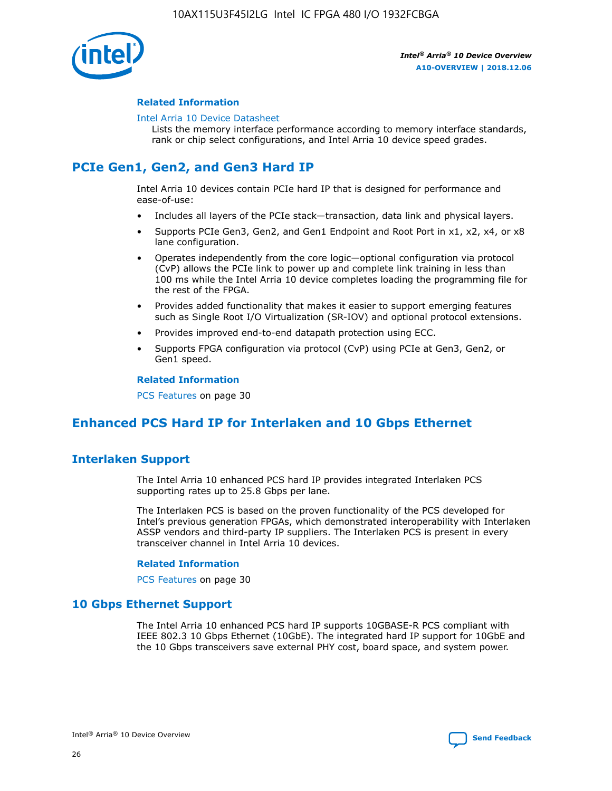

### **Related Information**

#### [Intel Arria 10 Device Datasheet](https://www.intel.com/content/www/us/en/programmable/documentation/mcn1413182292568.html#mcn1413182153340)

Lists the memory interface performance according to memory interface standards, rank or chip select configurations, and Intel Arria 10 device speed grades.

### **PCIe Gen1, Gen2, and Gen3 Hard IP**

Intel Arria 10 devices contain PCIe hard IP that is designed for performance and ease-of-use:

- Includes all layers of the PCIe stack—transaction, data link and physical layers.
- Supports PCIe Gen3, Gen2, and Gen1 Endpoint and Root Port in x1, x2, x4, or x8 lane configuration.
- Operates independently from the core logic—optional configuration via protocol (CvP) allows the PCIe link to power up and complete link training in less than 100 ms while the Intel Arria 10 device completes loading the programming file for the rest of the FPGA.
- Provides added functionality that makes it easier to support emerging features such as Single Root I/O Virtualization (SR-IOV) and optional protocol extensions.
- Provides improved end-to-end datapath protection using ECC.
- Supports FPGA configuration via protocol (CvP) using PCIe at Gen3, Gen2, or Gen1 speed.

#### **Related Information**

PCS Features on page 30

### **Enhanced PCS Hard IP for Interlaken and 10 Gbps Ethernet**

### **Interlaken Support**

The Intel Arria 10 enhanced PCS hard IP provides integrated Interlaken PCS supporting rates up to 25.8 Gbps per lane.

The Interlaken PCS is based on the proven functionality of the PCS developed for Intel's previous generation FPGAs, which demonstrated interoperability with Interlaken ASSP vendors and third-party IP suppliers. The Interlaken PCS is present in every transceiver channel in Intel Arria 10 devices.

### **Related Information**

PCS Features on page 30

### **10 Gbps Ethernet Support**

The Intel Arria 10 enhanced PCS hard IP supports 10GBASE-R PCS compliant with IEEE 802.3 10 Gbps Ethernet (10GbE). The integrated hard IP support for 10GbE and the 10 Gbps transceivers save external PHY cost, board space, and system power.

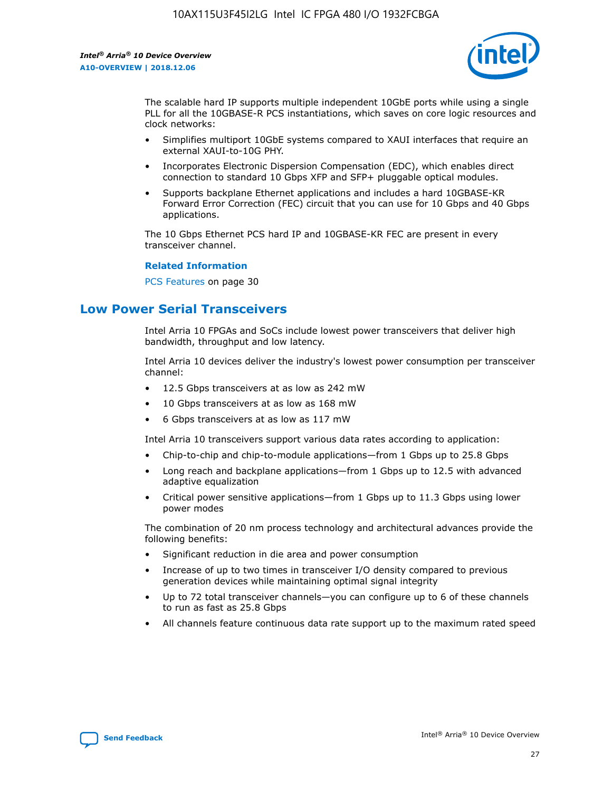

The scalable hard IP supports multiple independent 10GbE ports while using a single PLL for all the 10GBASE-R PCS instantiations, which saves on core logic resources and clock networks:

- Simplifies multiport 10GbE systems compared to XAUI interfaces that require an external XAUI-to-10G PHY.
- Incorporates Electronic Dispersion Compensation (EDC), which enables direct connection to standard 10 Gbps XFP and SFP+ pluggable optical modules.
- Supports backplane Ethernet applications and includes a hard 10GBASE-KR Forward Error Correction (FEC) circuit that you can use for 10 Gbps and 40 Gbps applications.

The 10 Gbps Ethernet PCS hard IP and 10GBASE-KR FEC are present in every transceiver channel.

### **Related Information**

PCS Features on page 30

### **Low Power Serial Transceivers**

Intel Arria 10 FPGAs and SoCs include lowest power transceivers that deliver high bandwidth, throughput and low latency.

Intel Arria 10 devices deliver the industry's lowest power consumption per transceiver channel:

- 12.5 Gbps transceivers at as low as 242 mW
- 10 Gbps transceivers at as low as 168 mW
- 6 Gbps transceivers at as low as 117 mW

Intel Arria 10 transceivers support various data rates according to application:

- Chip-to-chip and chip-to-module applications—from 1 Gbps up to 25.8 Gbps
- Long reach and backplane applications—from 1 Gbps up to 12.5 with advanced adaptive equalization
- Critical power sensitive applications—from 1 Gbps up to 11.3 Gbps using lower power modes

The combination of 20 nm process technology and architectural advances provide the following benefits:

- Significant reduction in die area and power consumption
- Increase of up to two times in transceiver I/O density compared to previous generation devices while maintaining optimal signal integrity
- Up to 72 total transceiver channels—you can configure up to 6 of these channels to run as fast as 25.8 Gbps
- All channels feature continuous data rate support up to the maximum rated speed

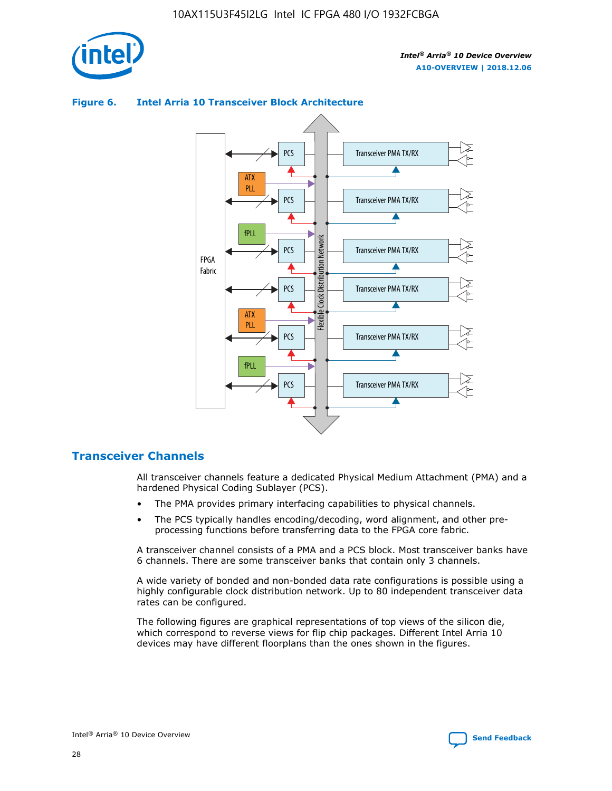



### **Figure 6. Intel Arria 10 Transceiver Block Architecture**

### **Transceiver Channels**

All transceiver channels feature a dedicated Physical Medium Attachment (PMA) and a hardened Physical Coding Sublayer (PCS).

- The PMA provides primary interfacing capabilities to physical channels.
- The PCS typically handles encoding/decoding, word alignment, and other preprocessing functions before transferring data to the FPGA core fabric.

A transceiver channel consists of a PMA and a PCS block. Most transceiver banks have 6 channels. There are some transceiver banks that contain only 3 channels.

A wide variety of bonded and non-bonded data rate configurations is possible using a highly configurable clock distribution network. Up to 80 independent transceiver data rates can be configured.

The following figures are graphical representations of top views of the silicon die, which correspond to reverse views for flip chip packages. Different Intel Arria 10 devices may have different floorplans than the ones shown in the figures.

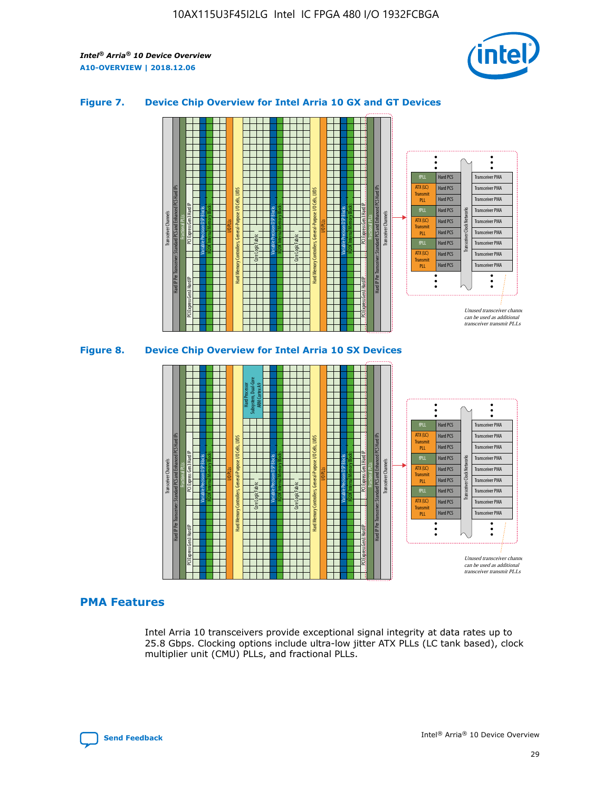

### **Figure 7. Device Chip Overview for Intel Arria 10 GX and GT Devices**





### **PMA Features**

Intel Arria 10 transceivers provide exceptional signal integrity at data rates up to 25.8 Gbps. Clocking options include ultra-low jitter ATX PLLs (LC tank based), clock multiplier unit (CMU) PLLs, and fractional PLLs.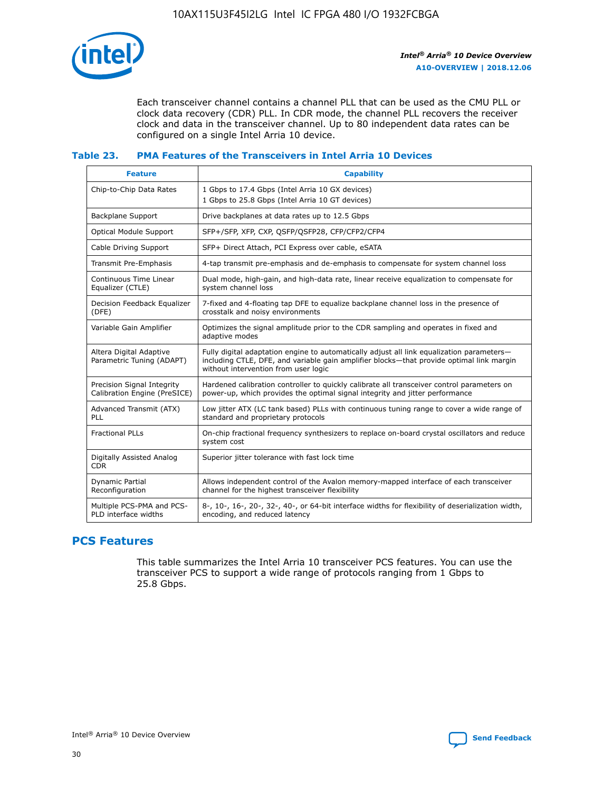

Each transceiver channel contains a channel PLL that can be used as the CMU PLL or clock data recovery (CDR) PLL. In CDR mode, the channel PLL recovers the receiver clock and data in the transceiver channel. Up to 80 independent data rates can be configured on a single Intel Arria 10 device.

### **Table 23. PMA Features of the Transceivers in Intel Arria 10 Devices**

| <b>Feature</b>                                             | <b>Capability</b>                                                                                                                                                                                                             |
|------------------------------------------------------------|-------------------------------------------------------------------------------------------------------------------------------------------------------------------------------------------------------------------------------|
| Chip-to-Chip Data Rates                                    | 1 Gbps to 17.4 Gbps (Intel Arria 10 GX devices)<br>1 Gbps to 25.8 Gbps (Intel Arria 10 GT devices)                                                                                                                            |
| <b>Backplane Support</b>                                   | Drive backplanes at data rates up to 12.5 Gbps                                                                                                                                                                                |
| <b>Optical Module Support</b>                              | SFP+/SFP, XFP, CXP, QSFP/QSFP28, CFP/CFP2/CFP4                                                                                                                                                                                |
| Cable Driving Support                                      | SFP+ Direct Attach, PCI Express over cable, eSATA                                                                                                                                                                             |
| Transmit Pre-Emphasis                                      | 4-tap transmit pre-emphasis and de-emphasis to compensate for system channel loss                                                                                                                                             |
| Continuous Time Linear<br>Equalizer (CTLE)                 | Dual mode, high-gain, and high-data rate, linear receive equalization to compensate for<br>system channel loss                                                                                                                |
| Decision Feedback Equalizer<br>(DFE)                       | 7-fixed and 4-floating tap DFE to equalize backplane channel loss in the presence of<br>crosstalk and noisy environments                                                                                                      |
| Variable Gain Amplifier                                    | Optimizes the signal amplitude prior to the CDR sampling and operates in fixed and<br>adaptive modes                                                                                                                          |
| Altera Digital Adaptive<br>Parametric Tuning (ADAPT)       | Fully digital adaptation engine to automatically adjust all link equalization parameters-<br>including CTLE, DFE, and variable gain amplifier blocks—that provide optimal link margin<br>without intervention from user logic |
| Precision Signal Integrity<br>Calibration Engine (PreSICE) | Hardened calibration controller to quickly calibrate all transceiver control parameters on<br>power-up, which provides the optimal signal integrity and jitter performance                                                    |
| Advanced Transmit (ATX)<br>PLL                             | Low jitter ATX (LC tank based) PLLs with continuous tuning range to cover a wide range of<br>standard and proprietary protocols                                                                                               |
| <b>Fractional PLLs</b>                                     | On-chip fractional frequency synthesizers to replace on-board crystal oscillators and reduce<br>system cost                                                                                                                   |
| Digitally Assisted Analog<br><b>CDR</b>                    | Superior jitter tolerance with fast lock time                                                                                                                                                                                 |
| <b>Dynamic Partial</b><br>Reconfiguration                  | Allows independent control of the Avalon memory-mapped interface of each transceiver<br>channel for the highest transceiver flexibility                                                                                       |
| Multiple PCS-PMA and PCS-<br>PLD interface widths          | 8-, 10-, 16-, 20-, 32-, 40-, or 64-bit interface widths for flexibility of deserialization width,<br>encoding, and reduced latency                                                                                            |

### **PCS Features**

This table summarizes the Intel Arria 10 transceiver PCS features. You can use the transceiver PCS to support a wide range of protocols ranging from 1 Gbps to 25.8 Gbps.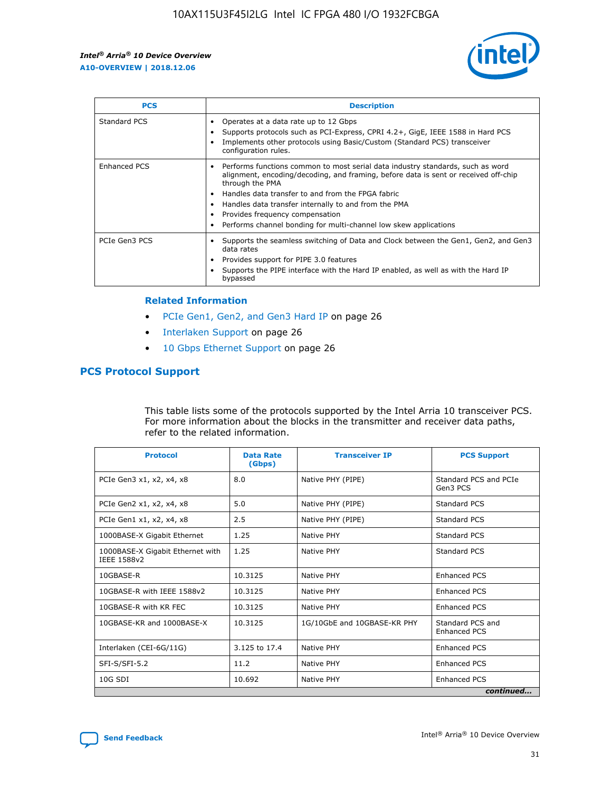

| <b>PCS</b>    | <b>Description</b>                                                                                                                                                                                                                                                                                                                                                                                                          |
|---------------|-----------------------------------------------------------------------------------------------------------------------------------------------------------------------------------------------------------------------------------------------------------------------------------------------------------------------------------------------------------------------------------------------------------------------------|
| Standard PCS  | Operates at a data rate up to 12 Gbps<br>Supports protocols such as PCI-Express, CPRI 4.2+, GigE, IEEE 1588 in Hard PCS<br>Implements other protocols using Basic/Custom (Standard PCS) transceiver<br>configuration rules.                                                                                                                                                                                                 |
| Enhanced PCS  | Performs functions common to most serial data industry standards, such as word<br>$\bullet$<br>alignment, encoding/decoding, and framing, before data is sent or received off-chip<br>through the PMA<br>• Handles data transfer to and from the FPGA fabric<br>Handles data transfer internally to and from the PMA<br>Provides frequency compensation<br>Performs channel bonding for multi-channel low skew applications |
| PCIe Gen3 PCS | Supports the seamless switching of Data and Clock between the Gen1, Gen2, and Gen3<br>data rates<br>Provides support for PIPE 3.0 features<br>Supports the PIPE interface with the Hard IP enabled, as well as with the Hard IP<br>bypassed                                                                                                                                                                                 |

#### **Related Information**

- PCIe Gen1, Gen2, and Gen3 Hard IP on page 26
- Interlaken Support on page 26
- 10 Gbps Ethernet Support on page 26

### **PCS Protocol Support**

This table lists some of the protocols supported by the Intel Arria 10 transceiver PCS. For more information about the blocks in the transmitter and receiver data paths, refer to the related information.

| <b>Protocol</b>                                 | <b>Data Rate</b><br>(Gbps) | <b>Transceiver IP</b>       | <b>PCS Support</b>                      |
|-------------------------------------------------|----------------------------|-----------------------------|-----------------------------------------|
| PCIe Gen3 x1, x2, x4, x8                        | 8.0                        | Native PHY (PIPE)           | Standard PCS and PCIe<br>Gen3 PCS       |
| PCIe Gen2 x1, x2, x4, x8                        | 5.0                        | Native PHY (PIPE)           | <b>Standard PCS</b>                     |
| PCIe Gen1 x1, x2, x4, x8                        | 2.5                        | Native PHY (PIPE)           | Standard PCS                            |
| 1000BASE-X Gigabit Ethernet                     | 1.25                       | Native PHY                  | <b>Standard PCS</b>                     |
| 1000BASE-X Gigabit Ethernet with<br>IEEE 1588v2 | 1.25                       | Native PHY                  | Standard PCS                            |
| 10GBASE-R                                       | 10.3125                    | Native PHY                  | <b>Enhanced PCS</b>                     |
| 10GBASE-R with IEEE 1588v2                      | 10.3125                    | Native PHY                  | <b>Enhanced PCS</b>                     |
| 10GBASE-R with KR FEC                           | 10.3125                    | Native PHY                  | <b>Enhanced PCS</b>                     |
| 10GBASE-KR and 1000BASE-X                       | 10.3125                    | 1G/10GbE and 10GBASE-KR PHY | Standard PCS and<br><b>Enhanced PCS</b> |
| Interlaken (CEI-6G/11G)                         | 3.125 to 17.4              | Native PHY                  | <b>Enhanced PCS</b>                     |
| SFI-S/SFI-5.2                                   | 11.2                       | Native PHY                  | <b>Enhanced PCS</b>                     |
| $10G$ SDI                                       | 10.692                     | Native PHY                  | <b>Enhanced PCS</b>                     |
|                                                 |                            |                             | continued                               |

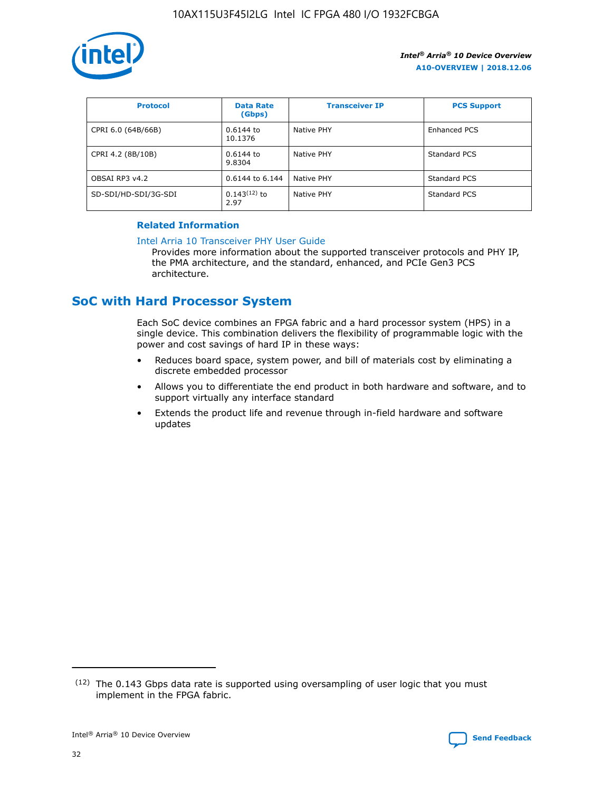

| <b>Protocol</b>      | <b>Data Rate</b><br>(Gbps) | <b>Transceiver IP</b> | <b>PCS Support</b> |
|----------------------|----------------------------|-----------------------|--------------------|
| CPRI 6.0 (64B/66B)   | 0.6144 to<br>10.1376       | Native PHY            | Enhanced PCS       |
| CPRI 4.2 (8B/10B)    | 0.6144 to<br>9.8304        | Native PHY            | Standard PCS       |
| OBSAI RP3 v4.2       | 0.6144 to 6.144            | Native PHY            | Standard PCS       |
| SD-SDI/HD-SDI/3G-SDI | $0.143(12)$ to<br>2.97     | Native PHY            | Standard PCS       |

### **Related Information**

#### [Intel Arria 10 Transceiver PHY User Guide](https://www.intel.com/content/www/us/en/programmable/documentation/nik1398707230472.html#nik1398707091164)

Provides more information about the supported transceiver protocols and PHY IP, the PMA architecture, and the standard, enhanced, and PCIe Gen3 PCS architecture.

### **SoC with Hard Processor System**

Each SoC device combines an FPGA fabric and a hard processor system (HPS) in a single device. This combination delivers the flexibility of programmable logic with the power and cost savings of hard IP in these ways:

- Reduces board space, system power, and bill of materials cost by eliminating a discrete embedded processor
- Allows you to differentiate the end product in both hardware and software, and to support virtually any interface standard
- Extends the product life and revenue through in-field hardware and software updates

 $(12)$  The 0.143 Gbps data rate is supported using oversampling of user logic that you must implement in the FPGA fabric.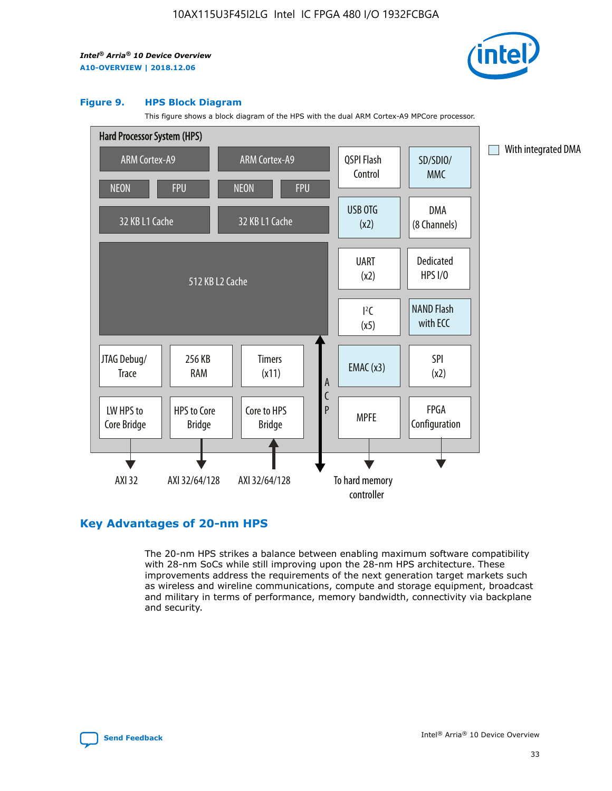

#### **Figure 9. HPS Block Diagram**

This figure shows a block diagram of the HPS with the dual ARM Cortex-A9 MPCore processor.



### **Key Advantages of 20-nm HPS**

The 20-nm HPS strikes a balance between enabling maximum software compatibility with 28-nm SoCs while still improving upon the 28-nm HPS architecture. These improvements address the requirements of the next generation target markets such as wireless and wireline communications, compute and storage equipment, broadcast and military in terms of performance, memory bandwidth, connectivity via backplane and security.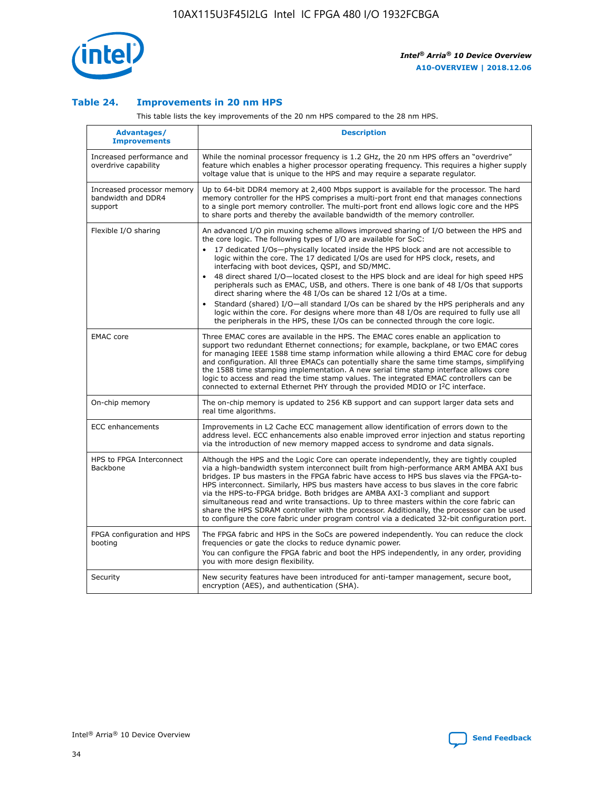

### **Table 24. Improvements in 20 nm HPS**

This table lists the key improvements of the 20 nm HPS compared to the 28 nm HPS.

| Advantages/<br><b>Improvements</b>                          | <b>Description</b>                                                                                                                                                                                                                                                                                                                                                                                                                                                                                                                                                                                                                                                                                                                                                                                                                                                                                                                   |
|-------------------------------------------------------------|--------------------------------------------------------------------------------------------------------------------------------------------------------------------------------------------------------------------------------------------------------------------------------------------------------------------------------------------------------------------------------------------------------------------------------------------------------------------------------------------------------------------------------------------------------------------------------------------------------------------------------------------------------------------------------------------------------------------------------------------------------------------------------------------------------------------------------------------------------------------------------------------------------------------------------------|
| Increased performance and<br>overdrive capability           | While the nominal processor frequency is 1.2 GHz, the 20 nm HPS offers an "overdrive"<br>feature which enables a higher processor operating frequency. This requires a higher supply<br>voltage value that is unique to the HPS and may require a separate requlator.                                                                                                                                                                                                                                                                                                                                                                                                                                                                                                                                                                                                                                                                |
| Increased processor memory<br>bandwidth and DDR4<br>support | Up to 64-bit DDR4 memory at 2,400 Mbps support is available for the processor. The hard<br>memory controller for the HPS comprises a multi-port front end that manages connections<br>to a single port memory controller. The multi-port front end allows logic core and the HPS<br>to share ports and thereby the available bandwidth of the memory controller.                                                                                                                                                                                                                                                                                                                                                                                                                                                                                                                                                                     |
| Flexible I/O sharing                                        | An advanced I/O pin muxing scheme allows improved sharing of I/O between the HPS and<br>the core logic. The following types of I/O are available for SoC:<br>17 dedicated I/Os-physically located inside the HPS block and are not accessible to<br>logic within the core. The 17 dedicated I/Os are used for HPS clock, resets, and<br>interfacing with boot devices, QSPI, and SD/MMC.<br>48 direct shared I/O-located closest to the HPS block and are ideal for high speed HPS<br>peripherals such as EMAC, USB, and others. There is one bank of 48 I/Os that supports<br>direct sharing where the 48 I/Os can be shared 12 I/Os at a time.<br>Standard (shared) I/O-all standard I/Os can be shared by the HPS peripherals and any<br>$\bullet$<br>logic within the core. For designs where more than 48 I/Os are required to fully use all<br>the peripherals in the HPS, these I/Os can be connected through the core logic. |
| <b>EMAC</b> core                                            | Three EMAC cores are available in the HPS. The EMAC cores enable an application to<br>support two redundant Ethernet connections; for example, backplane, or two EMAC cores<br>for managing IEEE 1588 time stamp information while allowing a third EMAC core for debug<br>and configuration. All three EMACs can potentially share the same time stamps, simplifying<br>the 1588 time stamping implementation. A new serial time stamp interface allows core<br>logic to access and read the time stamp values. The integrated EMAC controllers can be<br>connected to external Ethernet PHY through the provided MDIO or I <sup>2</sup> C interface.                                                                                                                                                                                                                                                                               |
| On-chip memory                                              | The on-chip memory is updated to 256 KB support and can support larger data sets and<br>real time algorithms.                                                                                                                                                                                                                                                                                                                                                                                                                                                                                                                                                                                                                                                                                                                                                                                                                        |
| <b>ECC</b> enhancements                                     | Improvements in L2 Cache ECC management allow identification of errors down to the<br>address level. ECC enhancements also enable improved error injection and status reporting<br>via the introduction of new memory mapped access to syndrome and data signals.                                                                                                                                                                                                                                                                                                                                                                                                                                                                                                                                                                                                                                                                    |
| HPS to FPGA Interconnect<br><b>Backbone</b>                 | Although the HPS and the Logic Core can operate independently, they are tightly coupled<br>via a high-bandwidth system interconnect built from high-performance ARM AMBA AXI bus<br>bridges. IP bus masters in the FPGA fabric have access to HPS bus slaves via the FPGA-to-<br>HPS interconnect. Similarly, HPS bus masters have access to bus slaves in the core fabric<br>via the HPS-to-FPGA bridge. Both bridges are AMBA AXI-3 compliant and support<br>simultaneous read and write transactions. Up to three masters within the core fabric can<br>share the HPS SDRAM controller with the processor. Additionally, the processor can be used<br>to configure the core fabric under program control via a dedicated 32-bit configuration port.                                                                                                                                                                               |
| FPGA configuration and HPS<br>booting                       | The FPGA fabric and HPS in the SoCs are powered independently. You can reduce the clock<br>frequencies or gate the clocks to reduce dynamic power.<br>You can configure the FPGA fabric and boot the HPS independently, in any order, providing<br>you with more design flexibility.                                                                                                                                                                                                                                                                                                                                                                                                                                                                                                                                                                                                                                                 |
| Security                                                    | New security features have been introduced for anti-tamper management, secure boot,<br>encryption (AES), and authentication (SHA).                                                                                                                                                                                                                                                                                                                                                                                                                                                                                                                                                                                                                                                                                                                                                                                                   |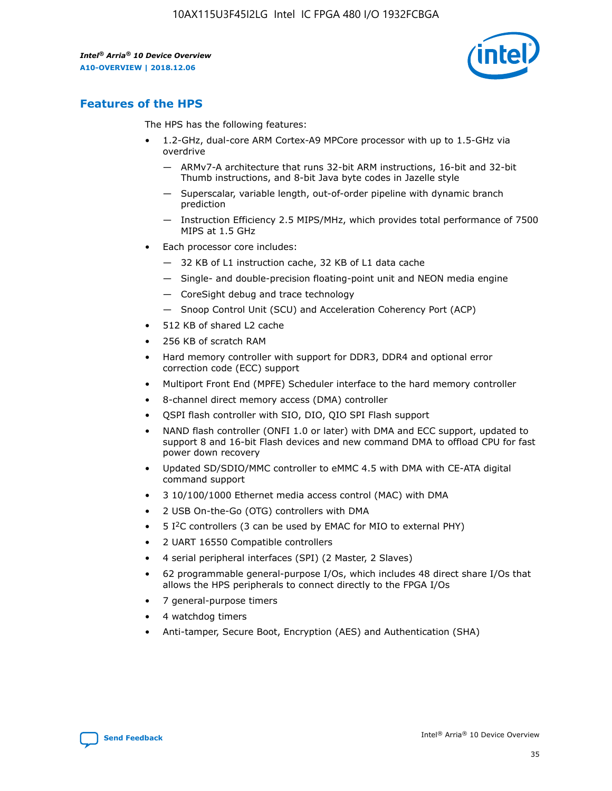

### **Features of the HPS**

The HPS has the following features:

- 1.2-GHz, dual-core ARM Cortex-A9 MPCore processor with up to 1.5-GHz via overdrive
	- ARMv7-A architecture that runs 32-bit ARM instructions, 16-bit and 32-bit Thumb instructions, and 8-bit Java byte codes in Jazelle style
	- Superscalar, variable length, out-of-order pipeline with dynamic branch prediction
	- Instruction Efficiency 2.5 MIPS/MHz, which provides total performance of 7500 MIPS at 1.5 GHz
- Each processor core includes:
	- 32 KB of L1 instruction cache, 32 KB of L1 data cache
	- Single- and double-precision floating-point unit and NEON media engine
	- CoreSight debug and trace technology
	- Snoop Control Unit (SCU) and Acceleration Coherency Port (ACP)
- 512 KB of shared L2 cache
- 256 KB of scratch RAM
- Hard memory controller with support for DDR3, DDR4 and optional error correction code (ECC) support
- Multiport Front End (MPFE) Scheduler interface to the hard memory controller
- 8-channel direct memory access (DMA) controller
- QSPI flash controller with SIO, DIO, QIO SPI Flash support
- NAND flash controller (ONFI 1.0 or later) with DMA and ECC support, updated to support 8 and 16-bit Flash devices and new command DMA to offload CPU for fast power down recovery
- Updated SD/SDIO/MMC controller to eMMC 4.5 with DMA with CE-ATA digital command support
- 3 10/100/1000 Ethernet media access control (MAC) with DMA
- 2 USB On-the-Go (OTG) controllers with DMA
- $\bullet$  5 I<sup>2</sup>C controllers (3 can be used by EMAC for MIO to external PHY)
- 2 UART 16550 Compatible controllers
- 4 serial peripheral interfaces (SPI) (2 Master, 2 Slaves)
- 62 programmable general-purpose I/Os, which includes 48 direct share I/Os that allows the HPS peripherals to connect directly to the FPGA I/Os
- 7 general-purpose timers
- 4 watchdog timers
- Anti-tamper, Secure Boot, Encryption (AES) and Authentication (SHA)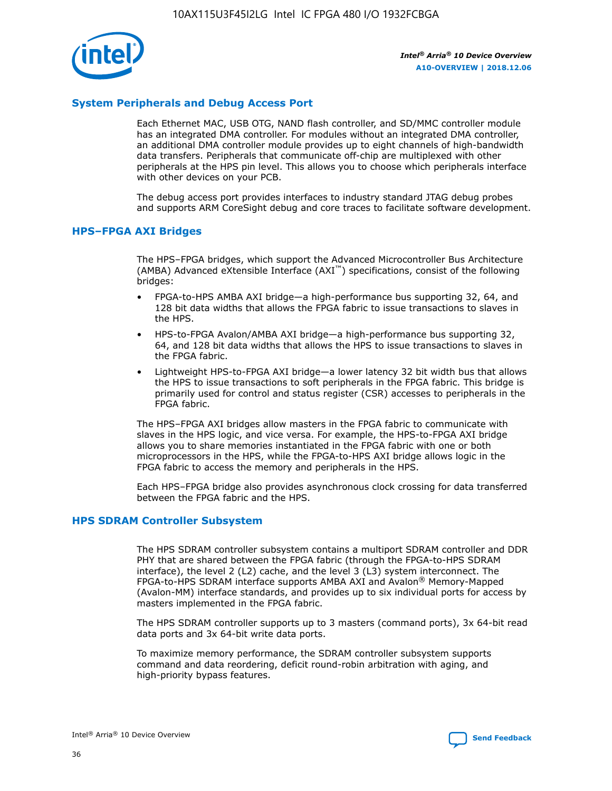

### **System Peripherals and Debug Access Port**

Each Ethernet MAC, USB OTG, NAND flash controller, and SD/MMC controller module has an integrated DMA controller. For modules without an integrated DMA controller, an additional DMA controller module provides up to eight channels of high-bandwidth data transfers. Peripherals that communicate off-chip are multiplexed with other peripherals at the HPS pin level. This allows you to choose which peripherals interface with other devices on your PCB.

The debug access port provides interfaces to industry standard JTAG debug probes and supports ARM CoreSight debug and core traces to facilitate software development.

### **HPS–FPGA AXI Bridges**

The HPS–FPGA bridges, which support the Advanced Microcontroller Bus Architecture (AMBA) Advanced eXtensible Interface (AXI™) specifications, consist of the following bridges:

- FPGA-to-HPS AMBA AXI bridge—a high-performance bus supporting 32, 64, and 128 bit data widths that allows the FPGA fabric to issue transactions to slaves in the HPS.
- HPS-to-FPGA Avalon/AMBA AXI bridge—a high-performance bus supporting 32, 64, and 128 bit data widths that allows the HPS to issue transactions to slaves in the FPGA fabric.
- Lightweight HPS-to-FPGA AXI bridge—a lower latency 32 bit width bus that allows the HPS to issue transactions to soft peripherals in the FPGA fabric. This bridge is primarily used for control and status register (CSR) accesses to peripherals in the FPGA fabric.

The HPS–FPGA AXI bridges allow masters in the FPGA fabric to communicate with slaves in the HPS logic, and vice versa. For example, the HPS-to-FPGA AXI bridge allows you to share memories instantiated in the FPGA fabric with one or both microprocessors in the HPS, while the FPGA-to-HPS AXI bridge allows logic in the FPGA fabric to access the memory and peripherals in the HPS.

Each HPS–FPGA bridge also provides asynchronous clock crossing for data transferred between the FPGA fabric and the HPS.

### **HPS SDRAM Controller Subsystem**

The HPS SDRAM controller subsystem contains a multiport SDRAM controller and DDR PHY that are shared between the FPGA fabric (through the FPGA-to-HPS SDRAM interface), the level 2 (L2) cache, and the level 3 (L3) system interconnect. The FPGA-to-HPS SDRAM interface supports AMBA AXI and Avalon® Memory-Mapped (Avalon-MM) interface standards, and provides up to six individual ports for access by masters implemented in the FPGA fabric.

The HPS SDRAM controller supports up to 3 masters (command ports), 3x 64-bit read data ports and 3x 64-bit write data ports.

To maximize memory performance, the SDRAM controller subsystem supports command and data reordering, deficit round-robin arbitration with aging, and high-priority bypass features.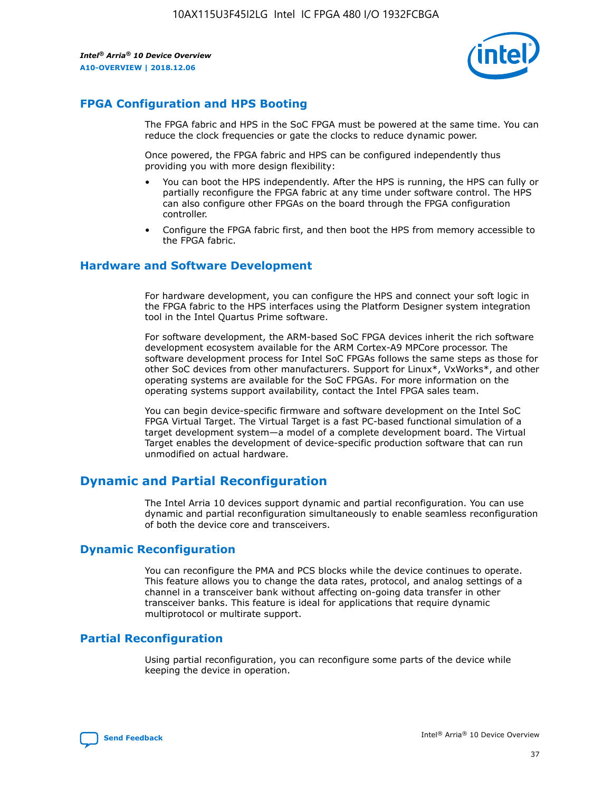

### **FPGA Configuration and HPS Booting**

The FPGA fabric and HPS in the SoC FPGA must be powered at the same time. You can reduce the clock frequencies or gate the clocks to reduce dynamic power.

Once powered, the FPGA fabric and HPS can be configured independently thus providing you with more design flexibility:

- You can boot the HPS independently. After the HPS is running, the HPS can fully or partially reconfigure the FPGA fabric at any time under software control. The HPS can also configure other FPGAs on the board through the FPGA configuration controller.
- Configure the FPGA fabric first, and then boot the HPS from memory accessible to the FPGA fabric.

### **Hardware and Software Development**

For hardware development, you can configure the HPS and connect your soft logic in the FPGA fabric to the HPS interfaces using the Platform Designer system integration tool in the Intel Quartus Prime software.

For software development, the ARM-based SoC FPGA devices inherit the rich software development ecosystem available for the ARM Cortex-A9 MPCore processor. The software development process for Intel SoC FPGAs follows the same steps as those for other SoC devices from other manufacturers. Support for Linux\*, VxWorks\*, and other operating systems are available for the SoC FPGAs. For more information on the operating systems support availability, contact the Intel FPGA sales team.

You can begin device-specific firmware and software development on the Intel SoC FPGA Virtual Target. The Virtual Target is a fast PC-based functional simulation of a target development system—a model of a complete development board. The Virtual Target enables the development of device-specific production software that can run unmodified on actual hardware.

### **Dynamic and Partial Reconfiguration**

The Intel Arria 10 devices support dynamic and partial reconfiguration. You can use dynamic and partial reconfiguration simultaneously to enable seamless reconfiguration of both the device core and transceivers.

### **Dynamic Reconfiguration**

You can reconfigure the PMA and PCS blocks while the device continues to operate. This feature allows you to change the data rates, protocol, and analog settings of a channel in a transceiver bank without affecting on-going data transfer in other transceiver banks. This feature is ideal for applications that require dynamic multiprotocol or multirate support.

### **Partial Reconfiguration**

Using partial reconfiguration, you can reconfigure some parts of the device while keeping the device in operation.

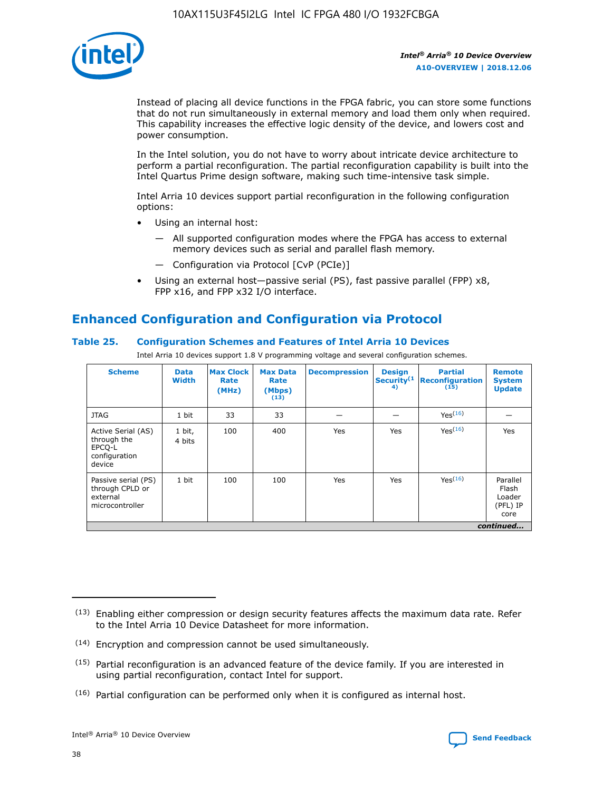

Instead of placing all device functions in the FPGA fabric, you can store some functions that do not run simultaneously in external memory and load them only when required. This capability increases the effective logic density of the device, and lowers cost and power consumption.

In the Intel solution, you do not have to worry about intricate device architecture to perform a partial reconfiguration. The partial reconfiguration capability is built into the Intel Quartus Prime design software, making such time-intensive task simple.

Intel Arria 10 devices support partial reconfiguration in the following configuration options:

- Using an internal host:
	- All supported configuration modes where the FPGA has access to external memory devices such as serial and parallel flash memory.
	- Configuration via Protocol [CvP (PCIe)]
- Using an external host—passive serial (PS), fast passive parallel (FPP) x8, FPP x16, and FPP x32 I/O interface.

### **Enhanced Configuration and Configuration via Protocol**

### **Table 25. Configuration Schemes and Features of Intel Arria 10 Devices**

Intel Arria 10 devices support 1.8 V programming voltage and several configuration schemes.

| <b>Scheme</b>                                                          | <b>Data</b><br><b>Width</b> | <b>Max Clock</b><br>Rate<br>(MHz) | <b>Max Data</b><br>Rate<br>(Mbps)<br>(13) | <b>Decompression</b> | <b>Design</b><br>Security <sup>(1</sup><br>4) | <b>Partial</b><br><b>Reconfiguration</b><br>(15) | <b>Remote</b><br><b>System</b><br><b>Update</b> |
|------------------------------------------------------------------------|-----------------------------|-----------------------------------|-------------------------------------------|----------------------|-----------------------------------------------|--------------------------------------------------|-------------------------------------------------|
| <b>JTAG</b>                                                            | 1 bit                       | 33                                | 33                                        |                      |                                               | Yes(16)                                          |                                                 |
| Active Serial (AS)<br>through the<br>EPCO-L<br>configuration<br>device | 1 bit,<br>4 bits            | 100                               | 400                                       | Yes                  | Yes                                           | $Y_{PS}(16)$                                     | Yes                                             |
| Passive serial (PS)<br>through CPLD or<br>external<br>microcontroller  | 1 bit                       | 100                               | 100                                       | Yes                  | Yes                                           | Yes(16)                                          | Parallel<br>Flash<br>Loader<br>(PFL) IP<br>core |
|                                                                        |                             |                                   |                                           |                      |                                               |                                                  | continued                                       |

<sup>(13)</sup> Enabling either compression or design security features affects the maximum data rate. Refer to the Intel Arria 10 Device Datasheet for more information.

<sup>(14)</sup> Encryption and compression cannot be used simultaneously.

 $(15)$  Partial reconfiguration is an advanced feature of the device family. If you are interested in using partial reconfiguration, contact Intel for support.

 $(16)$  Partial configuration can be performed only when it is configured as internal host.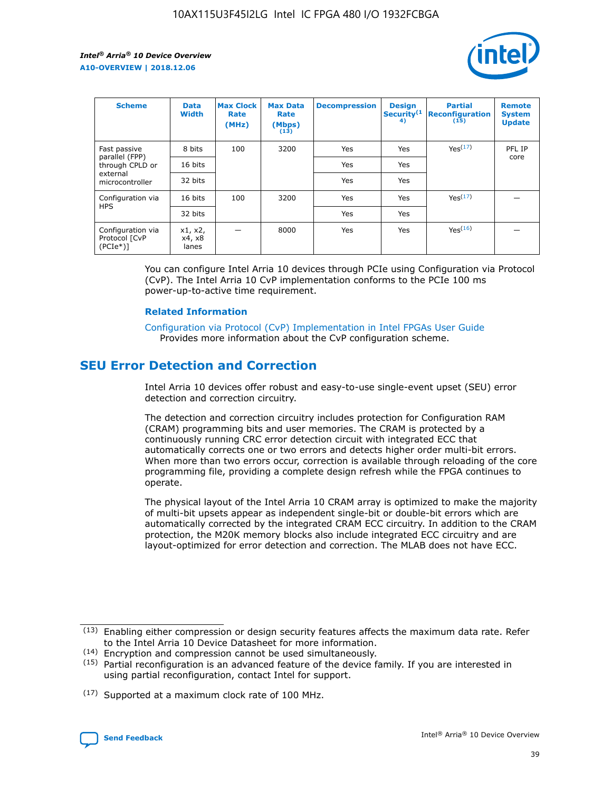

| <b>Scheme</b>                                   | <b>Data</b><br><b>Width</b> | <b>Max Clock</b><br>Rate<br>(MHz) | <b>Max Data</b><br>Rate<br>(Mbps)<br>(13) | <b>Decompression</b> | <b>Design</b><br>Security <sup>(1</sup><br>4) | <b>Partial</b><br><b>Reconfiguration</b><br>(15) | <b>Remote</b><br><b>System</b><br><b>Update</b> |
|-------------------------------------------------|-----------------------------|-----------------------------------|-------------------------------------------|----------------------|-----------------------------------------------|--------------------------------------------------|-------------------------------------------------|
| Fast passive                                    | 8 bits                      | 100                               | 3200                                      | Yes                  | Yes                                           | Yes(17)                                          | PFL IP                                          |
| parallel (FPP)<br>through CPLD or               | 16 bits                     |                                   |                                           | Yes                  | Yes                                           |                                                  | core                                            |
| external<br>microcontroller                     | 32 bits                     |                                   |                                           | Yes                  | Yes                                           |                                                  |                                                 |
| Configuration via                               | 16 bits                     | 100                               | 3200                                      | Yes                  | Yes                                           | Yes <sup>(17)</sup>                              |                                                 |
| <b>HPS</b>                                      | 32 bits                     |                                   |                                           | Yes                  | Yes                                           |                                                  |                                                 |
| Configuration via<br>Protocol [CvP<br>$(PCIe*)$ | x1, x2,<br>x4, x8<br>lanes  |                                   | 8000                                      | Yes                  | Yes                                           | Yes <sup>(16)</sup>                              |                                                 |

You can configure Intel Arria 10 devices through PCIe using Configuration via Protocol (CvP). The Intel Arria 10 CvP implementation conforms to the PCIe 100 ms power-up-to-active time requirement.

### **Related Information**

[Configuration via Protocol \(CvP\) Implementation in Intel FPGAs User Guide](https://www.intel.com/content/www/us/en/programmable/documentation/dsu1441819344145.html#dsu1442269728522) Provides more information about the CvP configuration scheme.

### **SEU Error Detection and Correction**

Intel Arria 10 devices offer robust and easy-to-use single-event upset (SEU) error detection and correction circuitry.

The detection and correction circuitry includes protection for Configuration RAM (CRAM) programming bits and user memories. The CRAM is protected by a continuously running CRC error detection circuit with integrated ECC that automatically corrects one or two errors and detects higher order multi-bit errors. When more than two errors occur, correction is available through reloading of the core programming file, providing a complete design refresh while the FPGA continues to operate.

The physical layout of the Intel Arria 10 CRAM array is optimized to make the majority of multi-bit upsets appear as independent single-bit or double-bit errors which are automatically corrected by the integrated CRAM ECC circuitry. In addition to the CRAM protection, the M20K memory blocks also include integrated ECC circuitry and are layout-optimized for error detection and correction. The MLAB does not have ECC.

(14) Encryption and compression cannot be used simultaneously.

<sup>(17)</sup> Supported at a maximum clock rate of 100 MHz.



 $(13)$  Enabling either compression or design security features affects the maximum data rate. Refer to the Intel Arria 10 Device Datasheet for more information.

 $(15)$  Partial reconfiguration is an advanced feature of the device family. If you are interested in using partial reconfiguration, contact Intel for support.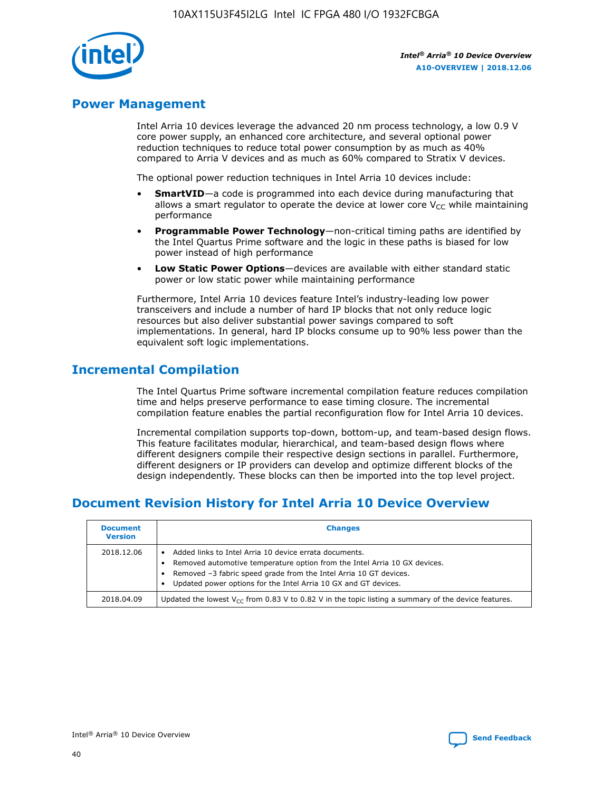

### **Power Management**

Intel Arria 10 devices leverage the advanced 20 nm process technology, a low 0.9 V core power supply, an enhanced core architecture, and several optional power reduction techniques to reduce total power consumption by as much as 40% compared to Arria V devices and as much as 60% compared to Stratix V devices.

The optional power reduction techniques in Intel Arria 10 devices include:

- **SmartVID**—a code is programmed into each device during manufacturing that allows a smart regulator to operate the device at lower core  $V_{CC}$  while maintaining performance
- **Programmable Power Technology**—non-critical timing paths are identified by the Intel Quartus Prime software and the logic in these paths is biased for low power instead of high performance
- **Low Static Power Options**—devices are available with either standard static power or low static power while maintaining performance

Furthermore, Intel Arria 10 devices feature Intel's industry-leading low power transceivers and include a number of hard IP blocks that not only reduce logic resources but also deliver substantial power savings compared to soft implementations. In general, hard IP blocks consume up to 90% less power than the equivalent soft logic implementations.

### **Incremental Compilation**

The Intel Quartus Prime software incremental compilation feature reduces compilation time and helps preserve performance to ease timing closure. The incremental compilation feature enables the partial reconfiguration flow for Intel Arria 10 devices.

Incremental compilation supports top-down, bottom-up, and team-based design flows. This feature facilitates modular, hierarchical, and team-based design flows where different designers compile their respective design sections in parallel. Furthermore, different designers or IP providers can develop and optimize different blocks of the design independently. These blocks can then be imported into the top level project.

### **Document Revision History for Intel Arria 10 Device Overview**

| <b>Document</b><br><b>Version</b> | <b>Changes</b>                                                                                                                                                                                                                                                              |
|-----------------------------------|-----------------------------------------------------------------------------------------------------------------------------------------------------------------------------------------------------------------------------------------------------------------------------|
| 2018.12.06                        | Added links to Intel Arria 10 device errata documents.<br>Removed automotive temperature option from the Intel Arria 10 GX devices.<br>Removed -3 fabric speed grade from the Intel Arria 10 GT devices.<br>Updated power options for the Intel Arria 10 GX and GT devices. |
| 2018.04.09                        | Updated the lowest $V_{CC}$ from 0.83 V to 0.82 V in the topic listing a summary of the device features.                                                                                                                                                                    |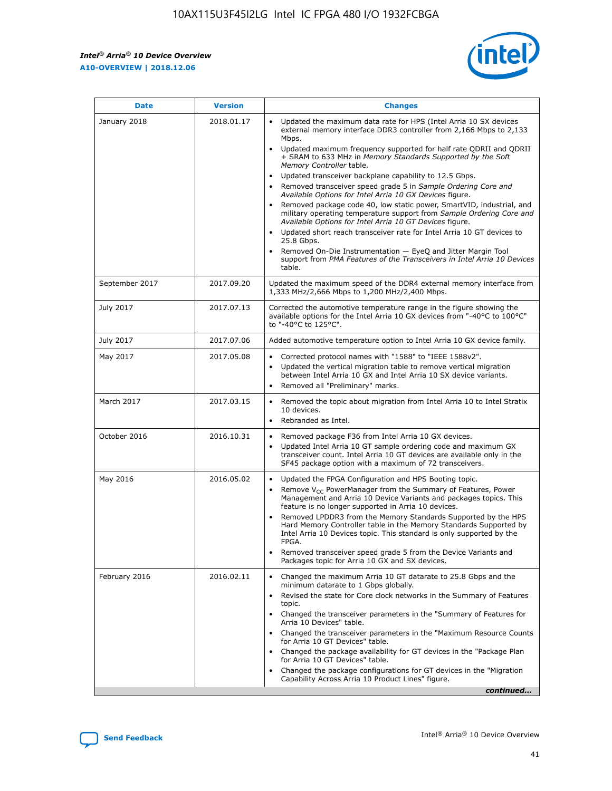*Intel® Arria® 10 Device Overview* **A10-OVERVIEW | 2018.12.06**



| <b>Date</b>    | <b>Version</b> | <b>Changes</b>                                                                                                                                                                                                                                                                                                                                                                                                                                                                                                                                                                                                                                                                                                                                                                                                                                                                                                                                                            |
|----------------|----------------|---------------------------------------------------------------------------------------------------------------------------------------------------------------------------------------------------------------------------------------------------------------------------------------------------------------------------------------------------------------------------------------------------------------------------------------------------------------------------------------------------------------------------------------------------------------------------------------------------------------------------------------------------------------------------------------------------------------------------------------------------------------------------------------------------------------------------------------------------------------------------------------------------------------------------------------------------------------------------|
| January 2018   | 2018.01.17     | Updated the maximum data rate for HPS (Intel Arria 10 SX devices<br>external memory interface DDR3 controller from 2,166 Mbps to 2,133<br>Mbps.<br>Updated maximum frequency supported for half rate QDRII and QDRII<br>+ SRAM to 633 MHz in Memory Standards Supported by the Soft<br>Memory Controller table.<br>Updated transceiver backplane capability to 12.5 Gbps.<br>$\bullet$<br>Removed transceiver speed grade 5 in Sample Ordering Core and<br>Available Options for Intel Arria 10 GX Devices figure.<br>Removed package code 40, low static power, SmartVID, industrial, and<br>military operating temperature support from Sample Ordering Core and<br>Available Options for Intel Arria 10 GT Devices figure.<br>Updated short reach transceiver rate for Intel Arria 10 GT devices to<br>25.8 Gbps.<br>Removed On-Die Instrumentation - EyeQ and Jitter Margin Tool<br>support from PMA Features of the Transceivers in Intel Arria 10 Devices<br>table. |
| September 2017 | 2017.09.20     | Updated the maximum speed of the DDR4 external memory interface from<br>1,333 MHz/2,666 Mbps to 1,200 MHz/2,400 Mbps.                                                                                                                                                                                                                                                                                                                                                                                                                                                                                                                                                                                                                                                                                                                                                                                                                                                     |
| July 2017      | 2017.07.13     | Corrected the automotive temperature range in the figure showing the<br>available options for the Intel Arria 10 GX devices from "-40°C to 100°C"<br>to "-40°C to 125°C".                                                                                                                                                                                                                                                                                                                                                                                                                                                                                                                                                                                                                                                                                                                                                                                                 |
| July 2017      | 2017.07.06     | Added automotive temperature option to Intel Arria 10 GX device family.                                                                                                                                                                                                                                                                                                                                                                                                                                                                                                                                                                                                                                                                                                                                                                                                                                                                                                   |
| May 2017       | 2017.05.08     | Corrected protocol names with "1588" to "IEEE 1588v2".<br>Updated the vertical migration table to remove vertical migration<br>between Intel Arria 10 GX and Intel Arria 10 SX device variants.<br>Removed all "Preliminary" marks.                                                                                                                                                                                                                                                                                                                                                                                                                                                                                                                                                                                                                                                                                                                                       |
| March 2017     | 2017.03.15     | Removed the topic about migration from Intel Arria 10 to Intel Stratix<br>10 devices.<br>Rebranded as Intel.<br>$\bullet$                                                                                                                                                                                                                                                                                                                                                                                                                                                                                                                                                                                                                                                                                                                                                                                                                                                 |
| October 2016   | 2016.10.31     | Removed package F36 from Intel Arria 10 GX devices.<br>Updated Intel Arria 10 GT sample ordering code and maximum GX<br>$\bullet$<br>transceiver count. Intel Arria 10 GT devices are available only in the<br>SF45 package option with a maximum of 72 transceivers.                                                                                                                                                                                                                                                                                                                                                                                                                                                                                                                                                                                                                                                                                                     |
| May 2016       | 2016.05.02     | Updated the FPGA Configuration and HPS Booting topic.<br>Remove V <sub>CC</sub> PowerManager from the Summary of Features, Power<br>Management and Arria 10 Device Variants and packages topics. This<br>feature is no longer supported in Arria 10 devices.<br>Removed LPDDR3 from the Memory Standards Supported by the HPS<br>Hard Memory Controller table in the Memory Standards Supported by<br>Intel Arria 10 Devices topic. This standard is only supported by the<br>FPGA.<br>Removed transceiver speed grade 5 from the Device Variants and<br>Packages topic for Arria 10 GX and SX devices.                                                                                                                                                                                                                                                                                                                                                                   |
| February 2016  | 2016.02.11     | Changed the maximum Arria 10 GT datarate to 25.8 Gbps and the<br>minimum datarate to 1 Gbps globally.<br>Revised the state for Core clock networks in the Summary of Features<br>$\bullet$<br>topic.<br>Changed the transceiver parameters in the "Summary of Features for<br>Arria 10 Devices" table.<br>• Changed the transceiver parameters in the "Maximum Resource Counts<br>for Arria 10 GT Devices" table.<br>• Changed the package availability for GT devices in the "Package Plan<br>for Arria 10 GT Devices" table.<br>Changed the package configurations for GT devices in the "Migration"<br>Capability Across Arria 10 Product Lines" figure.<br>continued                                                                                                                                                                                                                                                                                                  |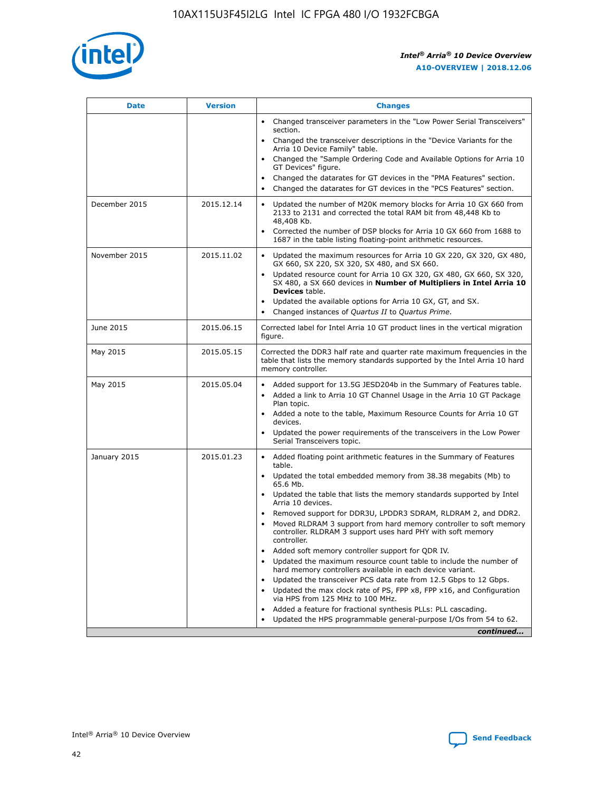

| <b>Date</b>   | <b>Version</b> | <b>Changes</b>                                                                                                                                                                   |
|---------------|----------------|----------------------------------------------------------------------------------------------------------------------------------------------------------------------------------|
|               |                | • Changed transceiver parameters in the "Low Power Serial Transceivers"<br>section.                                                                                              |
|               |                | • Changed the transceiver descriptions in the "Device Variants for the<br>Arria 10 Device Family" table.                                                                         |
|               |                | Changed the "Sample Ordering Code and Available Options for Arria 10<br>GT Devices" figure.                                                                                      |
|               |                | Changed the datarates for GT devices in the "PMA Features" section.                                                                                                              |
|               |                | Changed the datarates for GT devices in the "PCS Features" section.<br>$\bullet$                                                                                                 |
| December 2015 | 2015.12.14     | Updated the number of M20K memory blocks for Arria 10 GX 660 from<br>$\bullet$<br>2133 to 2131 and corrected the total RAM bit from 48,448 Kb to<br>48,408 Kb.                   |
|               |                | Corrected the number of DSP blocks for Arria 10 GX 660 from 1688 to<br>$\bullet$<br>1687 in the table listing floating-point arithmetic resources.                               |
| November 2015 | 2015.11.02     | Updated the maximum resources for Arria 10 GX 220, GX 320, GX 480,<br>$\bullet$<br>GX 660, SX 220, SX 320, SX 480, and SX 660.                                                   |
|               |                | Updated resource count for Arria 10 GX 320, GX 480, GX 660, SX 320,<br>$\bullet$<br>SX 480, a SX 660 devices in Number of Multipliers in Intel Arria 10<br><b>Devices</b> table. |
|               |                | Updated the available options for Arria 10 GX, GT, and SX.<br>$\bullet$                                                                                                          |
|               |                | Changed instances of Quartus II to Quartus Prime.<br>$\bullet$                                                                                                                   |
| June 2015     | 2015.06.15     | Corrected label for Intel Arria 10 GT product lines in the vertical migration<br>figure.                                                                                         |
| May 2015      | 2015.05.15     | Corrected the DDR3 half rate and quarter rate maximum frequencies in the<br>table that lists the memory standards supported by the Intel Arria 10 hard<br>memory controller.     |
| May 2015      | 2015.05.04     | • Added support for 13.5G JESD204b in the Summary of Features table.<br>• Added a link to Arria 10 GT Channel Usage in the Arria 10 GT Package<br>Plan topic.                    |
|               |                | • Added a note to the table, Maximum Resource Counts for Arria 10 GT<br>devices.                                                                                                 |
|               |                | Updated the power requirements of the transceivers in the Low Power<br>Serial Transceivers topic.                                                                                |
| January 2015  | 2015.01.23     | • Added floating point arithmetic features in the Summary of Features<br>table.                                                                                                  |
|               |                | • Updated the total embedded memory from 38.38 megabits (Mb) to<br>65.6 Mb.                                                                                                      |
|               |                | • Updated the table that lists the memory standards supported by Intel<br>Arria 10 devices.                                                                                      |
|               |                | Removed support for DDR3U, LPDDR3 SDRAM, RLDRAM 2, and DDR2.                                                                                                                     |
|               |                | Moved RLDRAM 3 support from hard memory controller to soft memory<br>controller. RLDRAM 3 support uses hard PHY with soft memory<br>controller.                                  |
|               |                | Added soft memory controller support for QDR IV.                                                                                                                                 |
|               |                | Updated the maximum resource count table to include the number of<br>hard memory controllers available in each device variant.                                                   |
|               |                | Updated the transceiver PCS data rate from 12.5 Gbps to 12 Gbps.<br>$\bullet$                                                                                                    |
|               |                | Updated the max clock rate of PS, FPP x8, FPP x16, and Configuration<br>via HPS from 125 MHz to 100 MHz.                                                                         |
|               |                | Added a feature for fractional synthesis PLLs: PLL cascading.                                                                                                                    |
|               |                | Updated the HPS programmable general-purpose I/Os from 54 to 62.                                                                                                                 |
|               |                | continued                                                                                                                                                                        |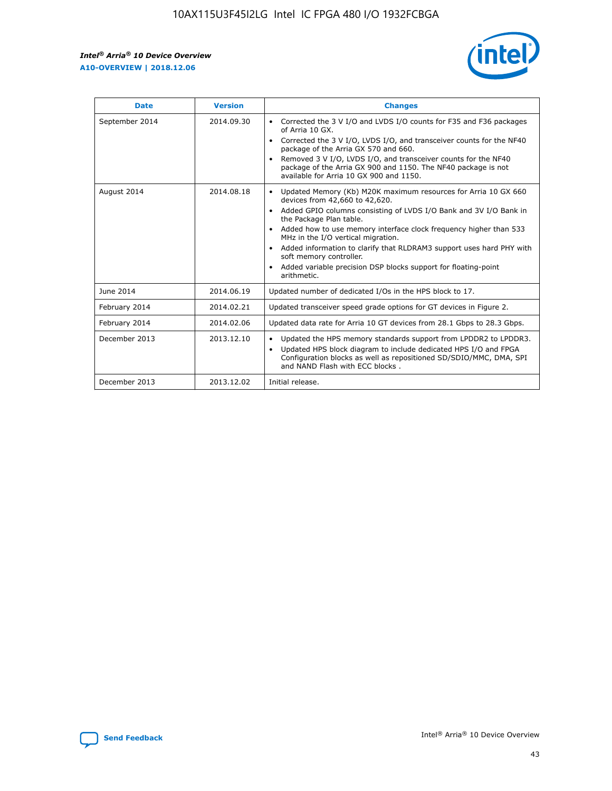r



| <b>Date</b>    | <b>Version</b> | <b>Changes</b>                                                                                                                                                                                                                                                                                                                                                                                                                                                                                                                                      |
|----------------|----------------|-----------------------------------------------------------------------------------------------------------------------------------------------------------------------------------------------------------------------------------------------------------------------------------------------------------------------------------------------------------------------------------------------------------------------------------------------------------------------------------------------------------------------------------------------------|
| September 2014 | 2014.09.30     | Corrected the 3 V I/O and LVDS I/O counts for F35 and F36 packages<br>$\bullet$<br>of Arria 10 GX.<br>Corrected the 3 V I/O, LVDS I/O, and transceiver counts for the NF40<br>$\bullet$<br>package of the Arria GX 570 and 660.<br>Removed 3 V I/O, LVDS I/O, and transceiver counts for the NF40<br>package of the Arria GX 900 and 1150. The NF40 package is not<br>available for Arria 10 GX 900 and 1150.                                                                                                                                       |
| August 2014    | 2014.08.18     | Updated Memory (Kb) M20K maximum resources for Arria 10 GX 660<br>devices from 42,660 to 42,620.<br>Added GPIO columns consisting of LVDS I/O Bank and 3V I/O Bank in<br>$\bullet$<br>the Package Plan table.<br>Added how to use memory interface clock frequency higher than 533<br>$\bullet$<br>MHz in the I/O vertical migration.<br>Added information to clarify that RLDRAM3 support uses hard PHY with<br>$\bullet$<br>soft memory controller.<br>Added variable precision DSP blocks support for floating-point<br>$\bullet$<br>arithmetic. |
| June 2014      | 2014.06.19     | Updated number of dedicated I/Os in the HPS block to 17.                                                                                                                                                                                                                                                                                                                                                                                                                                                                                            |
| February 2014  | 2014.02.21     | Updated transceiver speed grade options for GT devices in Figure 2.                                                                                                                                                                                                                                                                                                                                                                                                                                                                                 |
| February 2014  | 2014.02.06     | Updated data rate for Arria 10 GT devices from 28.1 Gbps to 28.3 Gbps.                                                                                                                                                                                                                                                                                                                                                                                                                                                                              |
| December 2013  | 2013.12.10     | Updated the HPS memory standards support from LPDDR2 to LPDDR3.<br>Updated HPS block diagram to include dedicated HPS I/O and FPGA<br>$\bullet$<br>Configuration blocks as well as repositioned SD/SDIO/MMC, DMA, SPI<br>and NAND Flash with ECC blocks.                                                                                                                                                                                                                                                                                            |
| December 2013  | 2013.12.02     | Initial release.                                                                                                                                                                                                                                                                                                                                                                                                                                                                                                                                    |